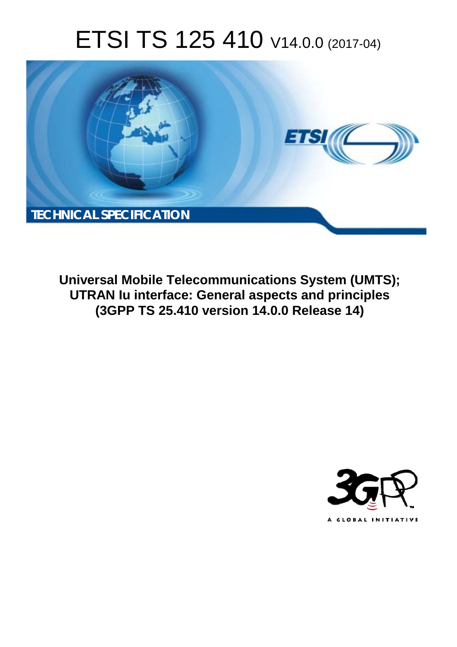# ETSI TS 125 410 V14.0.0 (2017-04)



**Universal Mobile Telecommunications System (UMTS); UTRAN Iu interface: General aspects and principles (3GPP TS 25.410 version 14.0.0 Release 14)** 

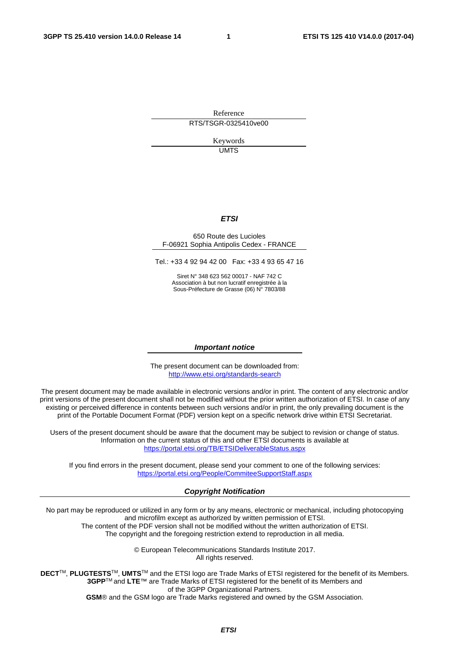Reference RTS/TSGR-0325410ve00

> Keywords UMTS

#### *ETSI*

#### 650 Route des Lucioles F-06921 Sophia Antipolis Cedex - FRANCE

Tel.: +33 4 92 94 42 00 Fax: +33 4 93 65 47 16

Siret N° 348 623 562 00017 - NAF 742 C Association à but non lucratif enregistrée à la Sous-Préfecture de Grasse (06) N° 7803/88

#### *Important notice*

The present document can be downloaded from: <http://www.etsi.org/standards-search>

The present document may be made available in electronic versions and/or in print. The content of any electronic and/or print versions of the present document shall not be modified without the prior written authorization of ETSI. In case of any existing or perceived difference in contents between such versions and/or in print, the only prevailing document is the print of the Portable Document Format (PDF) version kept on a specific network drive within ETSI Secretariat.

Users of the present document should be aware that the document may be subject to revision or change of status. Information on the current status of this and other ETSI documents is available at <https://portal.etsi.org/TB/ETSIDeliverableStatus.aspx>

If you find errors in the present document, please send your comment to one of the following services: <https://portal.etsi.org/People/CommiteeSupportStaff.aspx>

#### *Copyright Notification*

No part may be reproduced or utilized in any form or by any means, electronic or mechanical, including photocopying and microfilm except as authorized by written permission of ETSI.

The content of the PDF version shall not be modified without the written authorization of ETSI. The copyright and the foregoing restriction extend to reproduction in all media.

> © European Telecommunications Standards Institute 2017. All rights reserved.

**DECT**TM, **PLUGTESTS**TM, **UMTS**TM and the ETSI logo are Trade Marks of ETSI registered for the benefit of its Members. **3GPP**TM and **LTE**™ are Trade Marks of ETSI registered for the benefit of its Members and of the 3GPP Organizational Partners.

**GSM**® and the GSM logo are Trade Marks registered and owned by the GSM Association.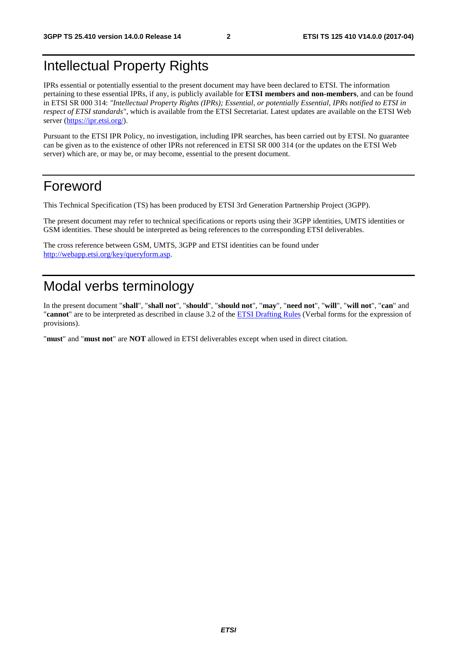# Intellectual Property Rights

IPRs essential or potentially essential to the present document may have been declared to ETSI. The information pertaining to these essential IPRs, if any, is publicly available for **ETSI members and non-members**, and can be found in ETSI SR 000 314: *"Intellectual Property Rights (IPRs); Essential, or potentially Essential, IPRs notified to ETSI in respect of ETSI standards"*, which is available from the ETSI Secretariat. Latest updates are available on the ETSI Web server ([https://ipr.etsi.org/\)](https://ipr.etsi.org/).

Pursuant to the ETSI IPR Policy, no investigation, including IPR searches, has been carried out by ETSI. No guarantee can be given as to the existence of other IPRs not referenced in ETSI SR 000 314 (or the updates on the ETSI Web server) which are, or may be, or may become, essential to the present document.

# Foreword

This Technical Specification (TS) has been produced by ETSI 3rd Generation Partnership Project (3GPP).

The present document may refer to technical specifications or reports using their 3GPP identities, UMTS identities or GSM identities. These should be interpreted as being references to the corresponding ETSI deliverables.

The cross reference between GSM, UMTS, 3GPP and ETSI identities can be found under [http://webapp.etsi.org/key/queryform.asp.](http://webapp.etsi.org/key/queryform.asp)

# Modal verbs terminology

In the present document "**shall**", "**shall not**", "**should**", "**should not**", "**may**", "**need not**", "**will**", "**will not**", "**can**" and "**cannot**" are to be interpreted as described in clause 3.2 of the [ETSI Drafting Rules](https://portal.etsi.org/Services/editHelp!/Howtostart/ETSIDraftingRules.aspx) (Verbal forms for the expression of provisions).

"**must**" and "**must not**" are **NOT** allowed in ETSI deliverables except when used in direct citation.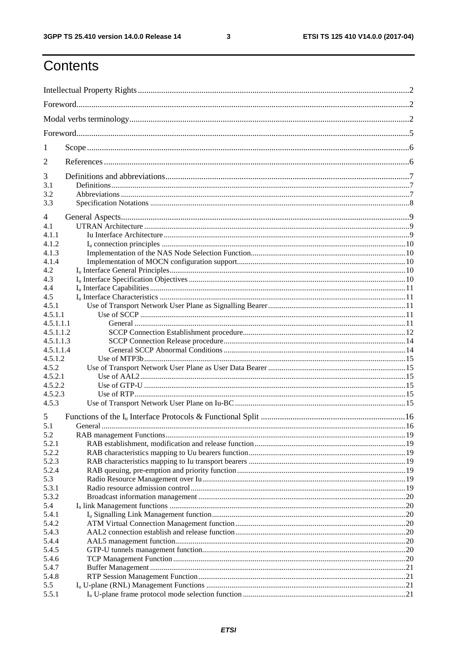$\mathbf{3}$ 

# Contents

| 1                  |         |  |
|--------------------|---------|--|
| 2                  |         |  |
| 3                  |         |  |
| 3.1                |         |  |
| 3.2                |         |  |
| 3.3                |         |  |
| 4                  |         |  |
| 4.1                |         |  |
| 4.1.1              |         |  |
| 4.1.2              |         |  |
| 4.1.3              |         |  |
| 4.1.4              |         |  |
| 4.2                |         |  |
| 4.3                |         |  |
| 4.4                |         |  |
| 4.5                |         |  |
| 4.5.1              |         |  |
| 4.5.1.1            |         |  |
| 4.5.1.1.1          |         |  |
| 4.5.1.1.2          |         |  |
| 4.5.1.1.3          |         |  |
| 4.5.1.1.4          |         |  |
| 4.5.1.2            |         |  |
| 4.5.2              |         |  |
| 4.5.2.1<br>4.5.2.2 |         |  |
| 4.5.2.3            |         |  |
| 4.5.3              |         |  |
|                    |         |  |
| 5<br>5.1           | General |  |
| 5.2                |         |  |
| 5.2.1              |         |  |
| 5.2.2              |         |  |
| 5.2.3              |         |  |
| 5.2.4              |         |  |
| 5.3                |         |  |
| 5.3.1              |         |  |
| 5.3.2              |         |  |
| 5.4                |         |  |
| 5.4.1              |         |  |
| 5.4.2              |         |  |
| 5.4.3              |         |  |
| 5.4.4              |         |  |
| 5.4.5              |         |  |
| 5.4.6              |         |  |
| 5.4.7              |         |  |
| 5.4.8              |         |  |
| 5.5                |         |  |
| 5.5.1              |         |  |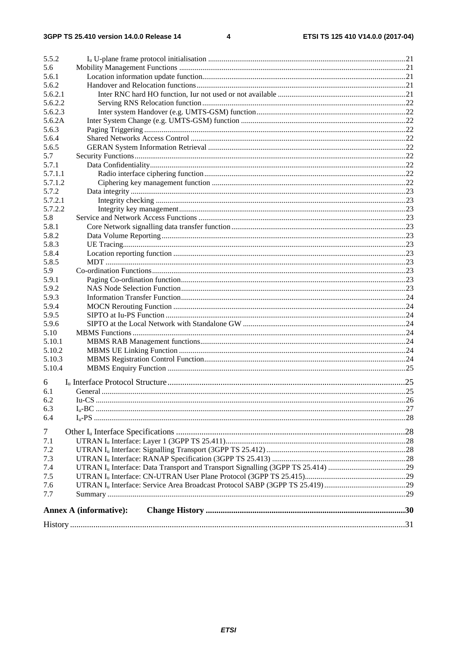|         | <b>Annex A (informative):</b> |  |
|---------|-------------------------------|--|
|         |                               |  |
| 7.7     |                               |  |
| 7.6     |                               |  |
| 7.5     |                               |  |
| 7.4     |                               |  |
| 7.3     |                               |  |
| 7.2     |                               |  |
| 7.1     |                               |  |
| $\tau$  |                               |  |
| 6.4     |                               |  |
| 6.3     |                               |  |
| 6.2     |                               |  |
| 6.1     |                               |  |
| 6       |                               |  |
|         |                               |  |
| 5.10.4  |                               |  |
| 5.10.3  |                               |  |
| 5.10.2  |                               |  |
| 5.10.1  |                               |  |
| 5.10    |                               |  |
| 5.9.6   |                               |  |
| 5.9.5   |                               |  |
| 5.9.4   |                               |  |
| 5.9.3   |                               |  |
| 5.9.2   |                               |  |
| 5.9.1   |                               |  |
| 5.9     |                               |  |
| 5.8.5   |                               |  |
| 5.8.4   |                               |  |
| 5.8.3   |                               |  |
| 5.8.2   |                               |  |
| 5.8.1   |                               |  |
| 5.8     |                               |  |
| 5.7.2.2 |                               |  |
| 5.7.2.1 |                               |  |
| 5.7.2   |                               |  |
| 5.7.1.2 |                               |  |
| 5.7.1.1 |                               |  |
| 5.7.1   |                               |  |
| 5.7     |                               |  |
| 5.6.5   |                               |  |
| 5.6.4   |                               |  |
| 5.6.3   |                               |  |
| 5.6.2A  |                               |  |
| 5.6.2.3 |                               |  |
| 5.6.2.2 |                               |  |
| 5.6.2.1 |                               |  |
| 5.6.2   |                               |  |
| 5.6.1   |                               |  |
| 5.6     |                               |  |
| 5.5.2   |                               |  |
|         |                               |  |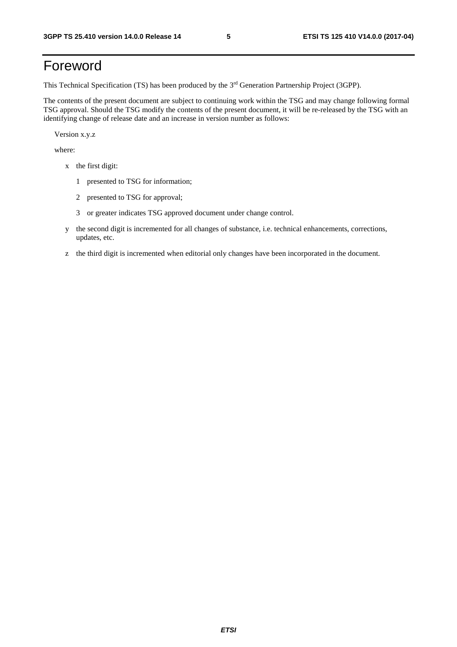# Foreword

This Technical Specification (TS) has been produced by the 3<sup>rd</sup> Generation Partnership Project (3GPP).

The contents of the present document are subject to continuing work within the TSG and may change following formal TSG approval. Should the TSG modify the contents of the present document, it will be re-released by the TSG with an identifying change of release date and an increase in version number as follows:

Version x.y.z

where:

- x the first digit:
	- 1 presented to TSG for information;
	- 2 presented to TSG for approval;
	- 3 or greater indicates TSG approved document under change control.
- y the second digit is incremented for all changes of substance, i.e. technical enhancements, corrections, updates, etc.
- z the third digit is incremented when editorial only changes have been incorporated in the document.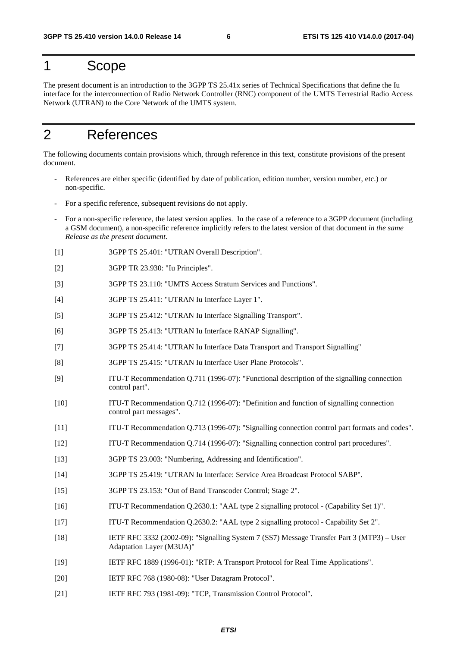# 1 Scope

The present document is an introduction to the 3GPP TS 25.41x series of Technical Specifications that define the Iu interface for the interconnection of Radio Network Controller (RNC) component of the UMTS Terrestrial Radio Access Network (UTRAN) to the Core Network of the UMTS system.

# 2 References

The following documents contain provisions which, through reference in this text, constitute provisions of the present document.

- References are either specific (identified by date of publication, edition number, version number, etc.) or non-specific.
- For a specific reference, subsequent revisions do not apply.
- For a non-specific reference, the latest version applies. In the case of a reference to a 3GPP document (including a GSM document), a non-specific reference implicitly refers to the latest version of that document *in the same Release as the present document*.
- [1] 3GPP TS 25.401: "UTRAN Overall Description".
- [2] 3GPP TR 23.930: "Iu Principles".
- [3] 3GPP TS 23.110: "UMTS Access Stratum Services and Functions".
- [4] 3GPP TS 25.411: "UTRAN Iu Interface Layer 1".
- [5] 3GPP TS 25.412: "UTRAN Iu Interface Signalling Transport".
- [6] 3GPP TS 25.413: "UTRAN Iu Interface RANAP Signalling".
- [7] 3GPP TS 25.414: "UTRAN Iu Interface Data Transport and Transport Signalling"
- [8] 3GPP TS 25.415: "UTRAN Iu Interface User Plane Protocols".
- [9] ITU-T Recommendation Q.711 (1996-07): "Functional description of the signalling connection control part".
- [10] ITU-T Recommendation Q.712 (1996-07): "Definition and function of signalling connection control part messages".
- [11] ITU-T Recommendation Q.713 (1996-07): "Signalling connection control part formats and codes".
- [12] ITU-T Recommendation Q.714 (1996-07): "Signalling connection control part procedures".
- [13] 3GPP TS 23.003: "Numbering, Addressing and Identification".
- [14] 3GPP TS 25.419: "UTRAN Iu Interface: Service Area Broadcast Protocol SABP".
- [15] 3GPP TS 23.153: "Out of Band Transcoder Control; Stage 2".
- [16] ITU-T Recommendation Q.2630.1: "AAL type 2 signalling protocol (Capability Set 1)".
- [17] ITU-T Recommendation Q.2630.2: "AAL type 2 signalling protocol Capability Set 2".
- [18] IETF RFC 3332 (2002-09): "Signalling System 7 (SS7) Message Transfer Part 3 (MTP3) User Adaptation Layer (M3UA)"
- [19] IETF RFC 1889 (1996-01): "RTP: A Transport Protocol for Real Time Applications".
- [20] IETF RFC 768 (1980-08): "User Datagram Protocol".
- [21] IETF RFC 793 (1981-09): "TCP, Transmission Control Protocol".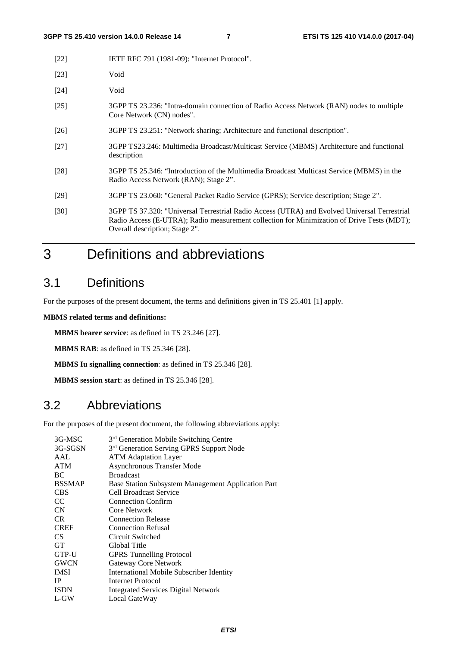| $[22]$ | IETF RFC 791 (1981-09): "Internet Protocol".                                                                                                                                                                                 |
|--------|------------------------------------------------------------------------------------------------------------------------------------------------------------------------------------------------------------------------------|
| $[23]$ | Void                                                                                                                                                                                                                         |
| [24]   | Void                                                                                                                                                                                                                         |
| $[25]$ | 3GPP TS 23.236: "Intra-domain connection of Radio Access Network (RAN) nodes to multiple<br>Core Network (CN) nodes".                                                                                                        |
| $[26]$ | 3GPP TS 23.251: "Network sharing; Architecture and functional description".                                                                                                                                                  |
| $[27]$ | 3GPP TS23.246: Multimedia Broadcast/Multicast Service (MBMS) Architecture and functional<br>description                                                                                                                      |
| [28]   | 3GPP TS 25.346: "Introduction of the Multimedia Broadcast Multicast Service (MBMS) in the<br>Radio Access Network (RAN); Stage 2".                                                                                           |
| [29]   | 3GPP TS 23.060: "General Packet Radio Service (GPRS); Service description; Stage 2".                                                                                                                                         |
| [30]   | 3GPP TS 37.320: "Universal Terrestrial Radio Access (UTRA) and Evolved Universal Terrestrial<br>Radio Access (E-UTRA); Radio measurement collection for Minimization of Drive Tests (MDT);<br>Overall description; Stage 2". |

# 3 Definitions and abbreviations

# 3.1 Definitions

For the purposes of the present document, the terms and definitions given in TS 25.401 [1] apply.

#### **MBMS related terms and definitions:**

**MBMS bearer service**: as defined in TS 23.246 [27].

**MBMS RAB**: as defined in TS 25.346 [28].

**MBMS Iu signalling connection**: as defined in TS 25.346 [28].

**MBMS session start**: as defined in TS 25.346 [28].

# 3.2 Abbreviations

For the purposes of the present document, the following abbreviations apply:

| 3G-MSC          | 3 <sup>rd</sup> Generation Mobile Switching Centre   |
|-----------------|------------------------------------------------------|
| 3G-SGSN         | 3 <sup>rd</sup> Generation Serving GPRS Support Node |
| AAL             | <b>ATM Adaptation Layer</b>                          |
| <b>ATM</b>      | Asynchronous Transfer Mode                           |
| BC.             | <b>Broadcast</b>                                     |
| <b>BSSMAP</b>   | Base Station Subsystem Management Application Part   |
| <b>CBS</b>      | <b>Cell Broadcast Service</b>                        |
| CC.             | <b>Connection Confirm</b>                            |
| <b>CN</b>       | Core Network                                         |
| CR.             | <b>Connection Release</b>                            |
| <b>CREF</b>     | <b>Connection Refusal</b>                            |
| CS <sup>-</sup> | Circuit Switched                                     |
| <b>GT</b>       | Global Title                                         |
| GTP-U           | <b>GPRS</b> Tunnelling Protocol                      |
| <b>GWCN</b>     | Gateway Core Network                                 |
| <b>IMSI</b>     | International Mobile Subscriber Identity             |
| <b>IP</b>       | Internet Protocol                                    |
| <b>ISDN</b>     | <b>Integrated Services Digital Network</b>           |
| L-GW            | Local GateWay                                        |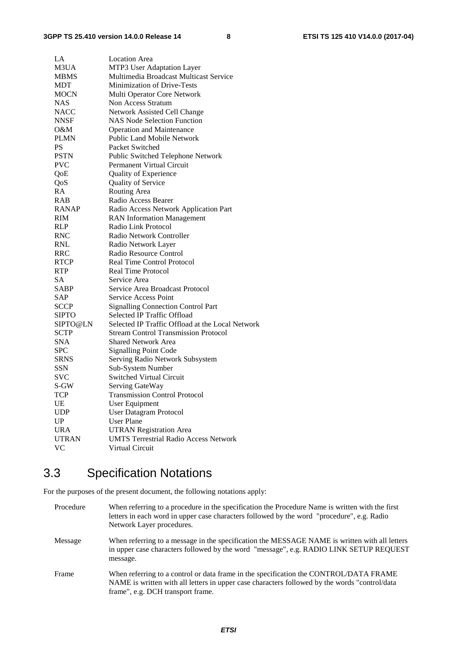#### **3GPP TS 25.410 version 14.0.0 Release 14 8 ETSI TS 125 410 V14.0.0 (2017-04)**

| LA           | <b>Location</b> Area                             |
|--------------|--------------------------------------------------|
| M3UA         | MTP3 User Adaptation Layer                       |
| <b>MBMS</b>  | Multimedia Broadcast Multicast Service           |
| MDT          | Minimization of Drive-Tests                      |
| MOCN         | Multi Operator Core Network                      |
| <b>NAS</b>   | Non Access Stratum                               |
| NACC         | Network Assisted Cell Change                     |
| <b>NNSF</b>  | <b>NAS Node Selection Function</b>               |
| O&M          | <b>Operation and Maintenance</b>                 |
| PLMN         | <b>Public Land Mobile Network</b>                |
| PS           | Packet Switched                                  |
| <b>PSTN</b>  | Public Switched Telephone Network                |
| <b>PVC</b>   | Permanent Virtual Circuit                        |
| QoE          | Quality of Experience                            |
| QoS          | Quality of Service                               |
| RA           | Routing Area                                     |
| RAB          | Radio Access Bearer                              |
| <b>RANAP</b> | Radio Access Network Application Part            |
| RIM          | <b>RAN Information Management</b>                |
| RLP          | Radio Link Protocol                              |
| RNC          | Radio Network Controller                         |
| RNL          | Radio Network Layer                              |
| <b>RRC</b>   | Radio Resource Control                           |
| RTCP         | <b>Real Time Control Protocol</b>                |
| <b>RTP</b>   | <b>Real Time Protocol</b>                        |
| <b>SA</b>    | Service Area                                     |
| <b>SABP</b>  | Service Area Broadcast Protocol                  |
| SAP          | <b>Service Access Point</b>                      |
| <b>SCCP</b>  | <b>Signalling Connection Control Part</b>        |
| <b>SIPTO</b> | Selected IP Traffic Offload                      |
| SIPTO@LN     | Selected IP Traffic Offload at the Local Network |
| <b>SCTP</b>  | <b>Stream Control Transmission Protocol</b>      |
| <b>SNA</b>   | Shared Network Area                              |
| <b>SPC</b>   | <b>Signalling Point Code</b>                     |
| <b>SRNS</b>  | Serving Radio Network Subsystem                  |
| <b>SSN</b>   | Sub-System Number                                |
| <b>SVC</b>   | Switched Virtual Circuit                         |
| S-GW         | Serving GateWay                                  |
| TCP          | <b>Transmission Control Protocol</b>             |
| UE           | <b>User Equipment</b>                            |
| <b>UDP</b>   | User Datagram Protocol                           |
| UP           | <b>User Plane</b>                                |
| <b>URA</b>   | <b>UTRAN Registration Area</b>                   |
| <b>UTRAN</b> | <b>UMTS Terrestrial Radio Access Network</b>     |
| VC           | Virtual Circuit                                  |

# 3.3 Specification Notations

For the purposes of the present document, the following notations apply:

| Procedure | When referring to a procedure in the specification the Procedure Name is written with the first<br>letters in each word in upper case characters followed by the word "procedure", e.g. Radio<br>Network Layer procedures.   |
|-----------|------------------------------------------------------------------------------------------------------------------------------------------------------------------------------------------------------------------------------|
| Message   | When referring to a message in the specification the MESSAGE NAME is written with all letters<br>in upper case characters followed by the word "message", e.g. RADIO LINK SETUP REQUEST<br>message.                          |
| Frame     | When referring to a control or data frame in the specification the CONTROL/DATA FRAME<br>NAME is written with all letters in upper case characters followed by the words "control/data"<br>frame", e.g. DCH transport frame. |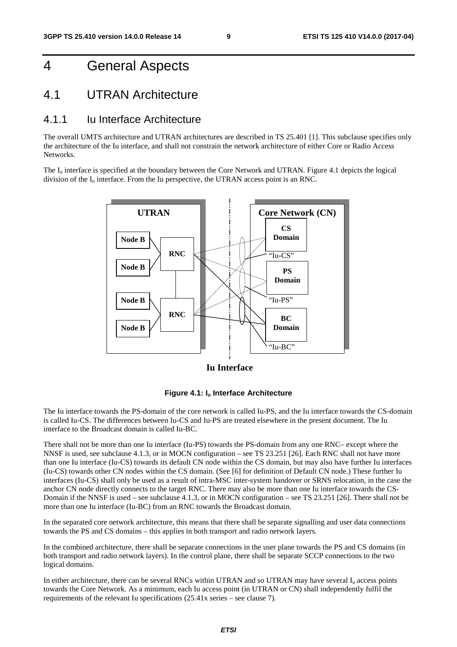# 4 General Aspects

### 4.1 UTRAN Architecture

#### 4.1.1 Iu Interface Architecture

The overall UMTS architecture and UTRAN architectures are described in TS 25.401 [1]. This subclause specifies only the architecture of the Iu interface, and shall not constrain the network architecture of either Core or Radio Access **Networks**.

The  $I_{\text{u}}$  interface is specified at the boundary between the Core Network and UTRAN. Figure 4.1 depicts the logical division of the  $I_u$  interface. From the Iu perspective, the UTRAN access point is an RNC.



**Iu Interface**



The Iu interface towards the PS-domain of the core network is called Iu-PS, and the Iu interface towards the CS-domain is called Iu-CS. The differences between Iu-CS and Iu-PS are treated elsewhere in the present document. The Iu interface to the Broadcast domain is called Iu-BC.

There shall not be more than one Iu interface (Iu-PS) towards the PS-domain from any one RNC– except where the NNSF is used, see subclause 4.1.3, or in MOCN configuration – see TS 23.251 [26]. Each RNC shall not have more than one Iu interface (Iu-CS) towards its default CN node within the CS domain, but may also have further Iu interfaces (Iu-CS) towards other CN nodes within the CS domain. (See [6] for definition of Default CN node.) These further Iu interfaces (Iu-CS) shall only be used as a result of intra-MSC inter-system handover or SRNS relocation, in the case the anchor CN node directly connects to the target RNC. There may also be more than one Iu interface towards the CS-Domain if the NNSF is used – see subclause 4.1.3, or in MOCN configuration – see TS 23.251 [26]. There shall not be more than one Iu interface (Iu-BC) from an RNC towards the Broadcast domain.

In the separated core network architecture, this means that there shall be separate signalling and user data connections towards the PS and CS domains – this applies in both transport and radio network layers.

In the combined architecture, there shall be separate connections in the user plane towards the PS and CS domains (in both transport and radio network layers). In the control plane, there shall be separate SCCP connections to the two logical domains.

In either architecture, there can be several RNCs within UTRAN and so UTRAN may have several  $I<sub>u</sub>$  access points towards the Core Network. As a minimum, each Iu access point (in UTRAN or CN) shall independently fulfil the requirements of the relevant Iu specifications (25.41x series – see clause 7).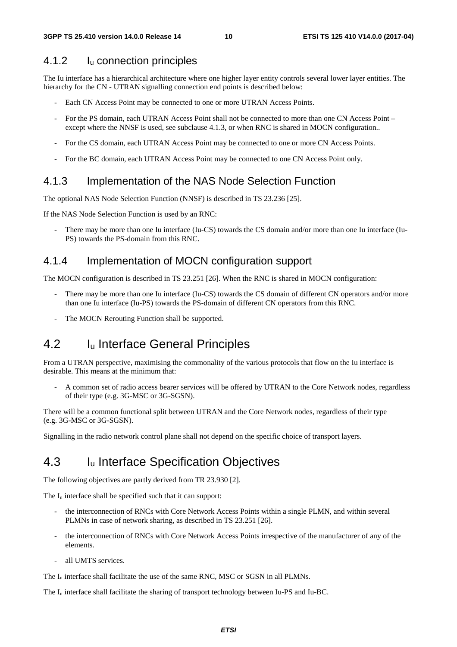#### 4.1.2 Iu connection principles

The Iu interface has a hierarchical architecture where one higher layer entity controls several lower layer entities. The hierarchy for the CN - UTRAN signalling connection end points is described below:

- Each CN Access Point may be connected to one or more UTRAN Access Points.
- For the PS domain, each UTRAN Access Point shall not be connected to more than one CN Access Point except where the NNSF is used, see subclause 4.1.3, or when RNC is shared in MOCN configuration..
- For the CS domain, each UTRAN Access Point may be connected to one or more CN Access Points.
- For the BC domain, each UTRAN Access Point may be connected to one CN Access Point only.

#### 4.1.3 Implementation of the NAS Node Selection Function

The optional NAS Node Selection Function (NNSF) is described in TS 23.236 [25].

If the NAS Node Selection Function is used by an RNC:

There may be more than one Iu interface (Iu-CS) towards the CS domain and/or more than one Iu interface (Iu-PS) towards the PS-domain from this RNC.

#### 4.1.4 Implementation of MOCN configuration support

The MOCN configuration is described in TS 23.251 [26]. When the RNC is shared in MOCN configuration:

- There may be more than one Iu interface (Iu-CS) towards the CS domain of different CN operators and/or more than one Iu interface (Iu-PS) towards the PS-domain of different CN operators from this RNC.
- The MOCN Rerouting Function shall be supported.

# 4.2 I<sub>u</sub> Interface General Principles

From a UTRAN perspective, maximising the commonality of the various protocols that flow on the Iu interface is desirable. This means at the minimum that:

- A common set of radio access bearer services will be offered by UTRAN to the Core Network nodes, regardless of their type (e.g. 3G-MSC or 3G-SGSN).

There will be a common functional split between UTRAN and the Core Network nodes, regardless of their type (e.g. 3G-MSC or 3G-SGSN).

Signalling in the radio network control plane shall not depend on the specific choice of transport layers.

### 4.3 I<sub>u</sub> Interface Specification Objectives

The following objectives are partly derived from TR 23.930 [2].

The I<sub>u</sub> interface shall be specified such that it can support:

- the interconnection of RNCs with Core Network Access Points within a single PLMN, and within several PLMNs in case of network sharing, as described in TS 23.251 [26].
- the interconnection of RNCs with Core Network Access Points irrespective of the manufacturer of any of the elements.
- all UMTS services.

The I<sub>u</sub> interface shall facilitate the use of the same RNC, MSC or SGSN in all PLMNs.

The Iu interface shall facilitate the sharing of transport technology between Iu-PS and Iu-BC.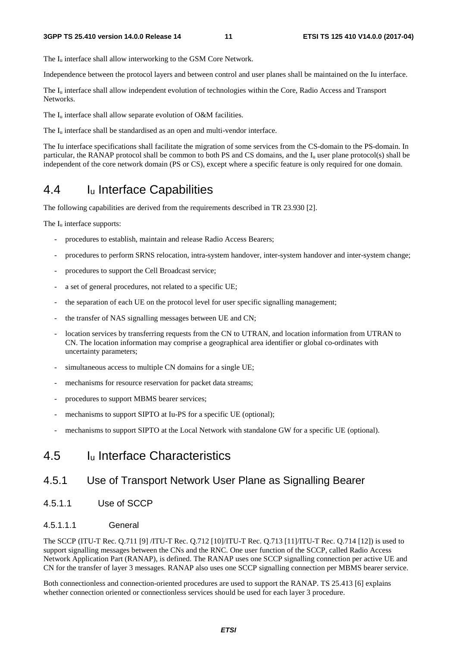The I<sub>u</sub> interface shall allow interworking to the GSM Core Network.

Independence between the protocol layers and between control and user planes shall be maintained on the Iu interface.

The  $I_{\text{u}}$  interface shall allow independent evolution of technologies within the Core, Radio Access and Transport Networks.

The  $I_u$  interface shall allow separate evolution of O&M facilities.

The I<sub>u</sub> interface shall be standardised as an open and multi-vendor interface.

The Iu interface specifications shall facilitate the migration of some services from the CS-domain to the PS-domain. In particular, the RANAP protocol shall be common to both PS and CS domains, and the Iu user plane protocol(s) shall be independent of the core network domain (PS or CS), except where a specific feature is only required for one domain.

### 4.4 Iu Interface Capabilities

The following capabilities are derived from the requirements described in TR 23.930 [2].

The  $I_{\text{u}}$  interface supports:

- procedures to establish, maintain and release Radio Access Bearers;
- procedures to perform SRNS relocation, intra-system handover, inter-system handover and inter-system change;
- procedures to support the Cell Broadcast service;
- a set of general procedures, not related to a specific UE;
- the separation of each UE on the protocol level for user specific signalling management;
- the transfer of NAS signalling messages between UE and CN;
- location services by transferring requests from the CN to UTRAN, and location information from UTRAN to CN. The location information may comprise a geographical area identifier or global co-ordinates with uncertainty parameters;
- simultaneous access to multiple CN domains for a single UE;
- mechanisms for resource reservation for packet data streams;
- procedures to support MBMS bearer services;
- mechanisms to support SIPTO at Iu-PS for a specific UE (optional);
- mechanisms to support SIPTO at the Local Network with standalone GW for a specific UE (optional).

### 4.5 Iu Interface Characteristics

#### 4.5.1 Use of Transport Network User Plane as Signalling Bearer

4.5.1.1 Use of SCCP

#### 4.5.1.1.1 General

The SCCP (ITU-T Rec. Q.711 [9] /ITU-T Rec. Q.712 [10]/ITU-T Rec. Q.713 [11]/ITU-T Rec. Q.714 [12]) is used to support signalling messages between the CNs and the RNC. One user function of the SCCP, called Radio Access Network Application Part (RANAP), is defined. The RANAP uses one SCCP signalling connection per active UE and CN for the transfer of layer 3 messages. RANAP also uses one SCCP signalling connection per MBMS bearer service.

Both connectionless and connection-oriented procedures are used to support the RANAP. TS 25.413 [6] explains whether connection oriented or connectionless services should be used for each layer 3 procedure.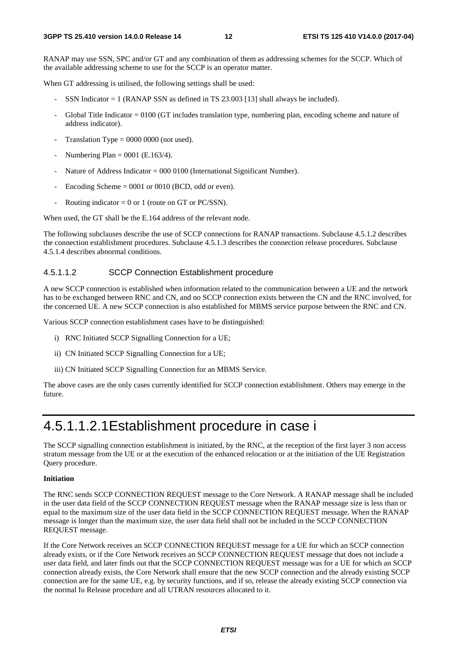RANAP may use SSN, SPC and/or GT and any combination of them as addressing schemes for the SCCP. Which of the available addressing scheme to use for the SCCP is an operator matter.

When GT addressing is utilised, the following settings shall be used:

- SSN Indicator  $= 1$  (RANAP SSN as defined in TS 23.003 [13] shall always be included).
- Global Title Indicator  $= 0100$  (GT includes translation type, numbering plan, encoding scheme and nature of address indicator).
- Translation Type  $= 0000 0000$  (not used).
- Numbering Plan =  $0001$  (E.163/4).
- Nature of Address Indicator =  $000\,0100$  (International Significant Number).
- Encoding Scheme  $= 0001$  or 0010 (BCD, odd or even).
- Routing indicator =  $0$  or 1 (route on GT or PC/SSN).

When used, the GT shall be the E.164 address of the relevant node.

The following subclauses describe the use of SCCP connections for RANAP transactions. Subclause 4.5.1.2 describes the connection establishment procedures. Subclause 4.5.1.3 describes the connection release procedures. Subclause 4.5.1.4 describes abnormal conditions.

#### 4.5.1.1.2 SCCP Connection Establishment procedure

A new SCCP connection is established when information related to the communication between a UE and the network has to be exchanged between RNC and CN, and no SCCP connection exists between the CN and the RNC involved, for the concerned UE. A new SCCP connection is also established for MBMS service purpose between the RNC and CN.

Various SCCP connection establishment cases have to be distinguished:

- i) RNC Initiated SCCP Signalling Connection for a UE;
- ii) CN Initiated SCCP Signalling Connection for a UE;
- iii) CN Initiated SCCP Signalling Connection for an MBMS Service.

The above cases are the only cases currently identified for SCCP connection establishment. Others may emerge in the future.

# 4.5.1.1.2.1 Establishment procedure in case i

The SCCP signalling connection establishment is initiated, by the RNC, at the reception of the first layer 3 non access stratum message from the UE or at the execution of the enhanced relocation or at the initiation of the UE Registration Query procedure.

#### **Initiation**

The RNC sends SCCP CONNECTION REQUEST message to the Core Network. A RANAP message shall be included in the user data field of the SCCP CONNECTION REQUEST message when the RANAP message size is less than or equal to the maximum size of the user data field in the SCCP CONNECTION REQUEST message. When the RANAP message is longer than the maximum size, the user data field shall not be included in the SCCP CONNECTION REQUEST message.

If the Core Network receives an SCCP CONNECTION REQUEST message for a UE for which an SCCP connection already exists, or if the Core Network receives an SCCP CONNECTION REQUEST message that does not include a user data field, and later finds out that the SCCP CONNECTION REQUEST message was for a UE for which an SCCP connection already exists, the Core Network shall ensure that the new SCCP connection and the already existing SCCP connection are for the same UE, e.g. by security functions, and if so, release the already existing SCCP connection via the normal Iu Release procedure and all UTRAN resources allocated to it.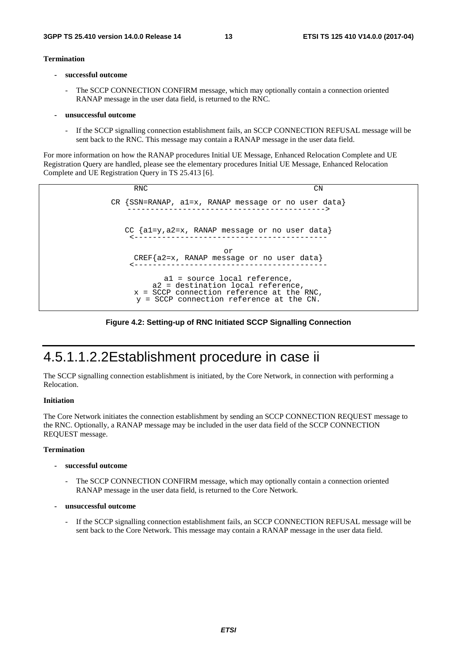#### **Termination**

- **successful outcome** 
	- The SCCP CONNECTION CONFIRM message, which may optionally contain a connection oriented RANAP message in the user data field, is returned to the RNC.
- **unsuccessful outcome** 
	- If the SCCP signalling connection establishment fails, an SCCP CONNECTION REFUSAL message will be sent back to the RNC. This message may contain a RANAP message in the user data field.

For more information on how the RANAP procedures Initial UE Message, Enhanced Relocation Complete and UE Registration Query are handled, please see the elementary procedures Initial UE Message, Enhanced Relocation Complete and UE Registration Query in TS 25.413 [6].

> RNC CN CR {SSN=RANAP, a1=x, RANAP message or no user data} -------------------------------------------> CC {a1=y,a2=x, RANAP message or no user data} <----------------------------------------- or CREF{a2=x, RANAP message or no user data} <----------------------------------------- a1 = source local reference, a2 = destination local reference, x = SCCP connection reference at the RNC, y = SCCP connection reference at the CN.

**Figure 4.2: Setting-up of RNC Initiated SCCP Signalling Connection** 

# 4.5.1.1.2.2 Establishment procedure in case ii

The SCCP signalling connection establishment is initiated, by the Core Network, in connection with performing a Relocation.

#### **Initiation**

The Core Network initiates the connection establishment by sending an SCCP CONNECTION REQUEST message to the RNC. Optionally, a RANAP message may be included in the user data field of the SCCP CONNECTION REQUEST message.

#### **Termination**

- **successful outcome** 
	- The SCCP CONNECTION CONFIRM message, which may optionally contain a connection oriented RANAP message in the user data field, is returned to the Core Network.
- **unsuccessful outcome** 
	- If the SCCP signalling connection establishment fails, an SCCP CONNECTION REFUSAL message will be sent back to the Core Network. This message may contain a RANAP message in the user data field.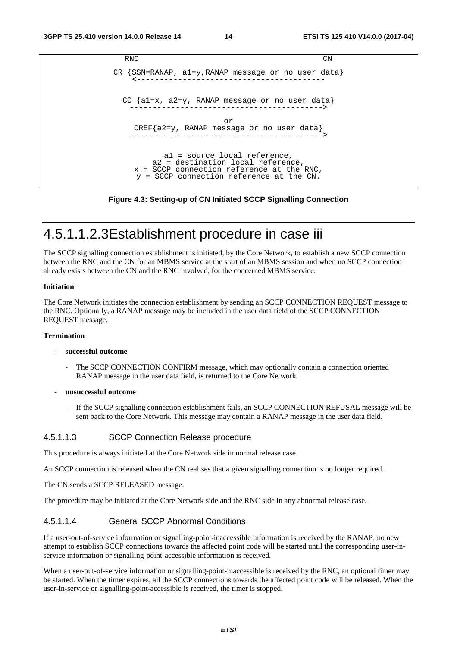```
RNC CN
CR {SSN=RANAP, a1=y,RANAP message or no user data} 
    <----------------------------------------- 
 CC {a1=x, a2=y, RANAP message or no user data} 
   ------------------------------------------> 
                      or 
    CREF{a2=y, RANAP message or no user data} 
   ------------------------------------------> 
          a1 = source local reference, 
        a2 = destination local reference, 
    x = SCCP connection reference at the RNC, 
    y = SCCP connection reference at the CN.
```
**Figure 4.3: Setting-up of CN Initiated SCCP Signalling Connection** 

# 4.5.1.1.2.3 Establishment procedure in case iii

The SCCP signalling connection establishment is initiated, by the Core Network, to establish a new SCCP connection between the RNC and the CN for an MBMS service at the start of an MBMS session and when no SCCP connection already exists between the CN and the RNC involved, for the concerned MBMS service.

#### **Initiation**

The Core Network initiates the connection establishment by sending an SCCP CONNECTION REQUEST message to the RNC. Optionally, a RANAP message may be included in the user data field of the SCCP CONNECTION REQUEST message.

#### **Termination**

#### **- successful outcome**

- The SCCP CONNECTION CONFIRM message, which may optionally contain a connection oriented RANAP message in the user data field, is returned to the Core Network.
- **unsuccessful outcome** 
	- If the SCCP signalling connection establishment fails, an SCCP CONNECTION REFUSAL message will be sent back to the Core Network. This message may contain a RANAP message in the user data field.

#### 4.5.1.1.3 SCCP Connection Release procedure

This procedure is always initiated at the Core Network side in normal release case.

An SCCP connection is released when the CN realises that a given signalling connection is no longer required.

The CN sends a SCCP RELEASED message.

The procedure may be initiated at the Core Network side and the RNC side in any abnormal release case.

#### 4.5.1.1.4 General SCCP Abnormal Conditions

If a user-out-of-service information or signalling-point-inaccessible information is received by the RANAP, no new attempt to establish SCCP connections towards the affected point code will be started until the corresponding user-inservice information or signalling-point-accessible information is received.

When a user-out-of-service information or signalling-point-inaccessible is received by the RNC, an optional timer may be started. When the timer expires, all the SCCP connections towards the affected point code will be released. When the user-in-service or signalling-point-accessible is received, the timer is stopped.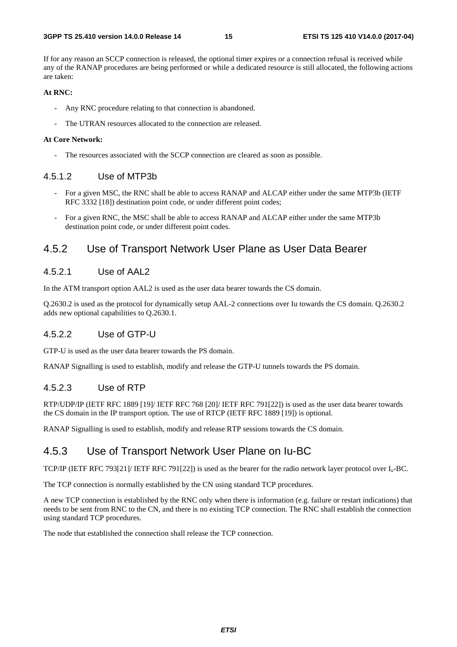If for any reason an SCCP connection is released, the optional timer expires or a connection refusal is received while any of the RANAP procedures are being performed or while a dedicated resource is still allocated, the following actions are taken:

#### **At RNC:**

- Any RNC procedure relating to that connection is abandoned.
- The UTRAN resources allocated to the connection are released.

#### **At Core Network:**

The resources associated with the SCCP connection are cleared as soon as possible.

#### 4.5.1.2 Use of MTP3b

- For a given MSC, the RNC shall be able to access RANAP and ALCAP either under the same MTP3b (IETF RFC 3332 [18]) destination point code, or under different point codes;
- For a given RNC, the MSC shall be able to access RANAP and ALCAP either under the same MTP3b destination point code, or under different point codes.

#### 4.5.2 Use of Transport Network User Plane as User Data Bearer

#### 4.5.2.1 Use of AAL2

In the ATM transport option AAL2 is used as the user data bearer towards the CS domain.

Q.2630.2 is used as the protocol for dynamically setup AAL-2 connections over Iu towards the CS domain. Q.2630.2 adds new optional capabilities to Q.2630.1.

#### 4.5.2.2 Use of GTP-U

GTP-U is used as the user data bearer towards the PS domain.

RANAP Signalling is used to establish, modify and release the GTP-U tunnels towards the PS domain.

#### 4.5.2.3 Use of RTP

RTP/UDP/IP (IETF RFC 1889 [19]/ IETF RFC 768 [20]/ IETF RFC 791[22]) is used as the user data bearer towards the CS domain in the IP transport option. The use of RTCP (IETF RFC 1889 [19]) is optional.

RANAP Signalling is used to establish, modify and release RTP sessions towards the CS domain.

#### 4.5.3 Use of Transport Network User Plane on Iu-BC

TCP/IP (IETF RFC 793[21]/ IETF RFC 791[22]) is used as the bearer for the radio network layer protocol over Iu-BC.

The TCP connection is normally established by the CN using standard TCP procedures.

A new TCP connection is established by the RNC only when there is information (e.g. failure or restart indications) that needs to be sent from RNC to the CN, and there is no existing TCP connection. The RNC shall establish the connection using standard TCP procedures.

The node that established the connection shall release the TCP connection.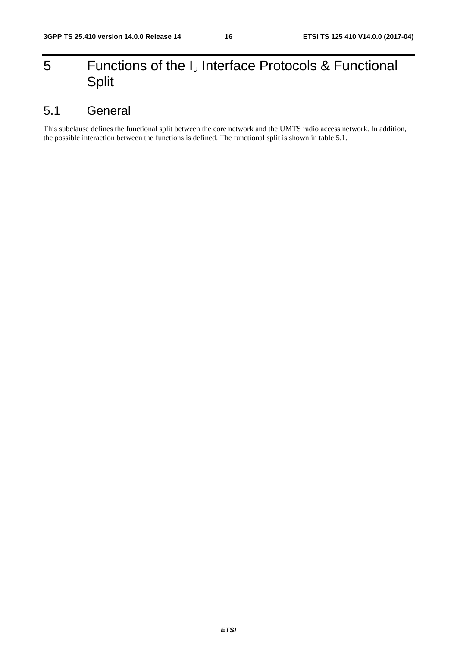# 5 Functions of the Iu Interface Protocols & Functional Split

# 5.1 General

This subclause defines the functional split between the core network and the UMTS radio access network. In addition, the possible interaction between the functions is defined. The functional split is shown in table 5.1.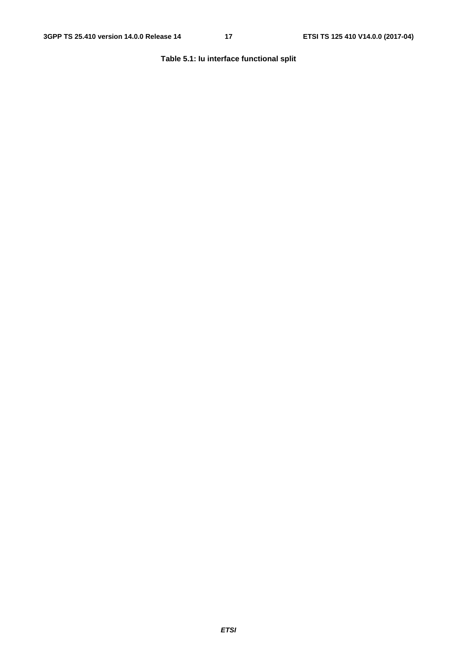### **Table 5.1: Iu interface functional split**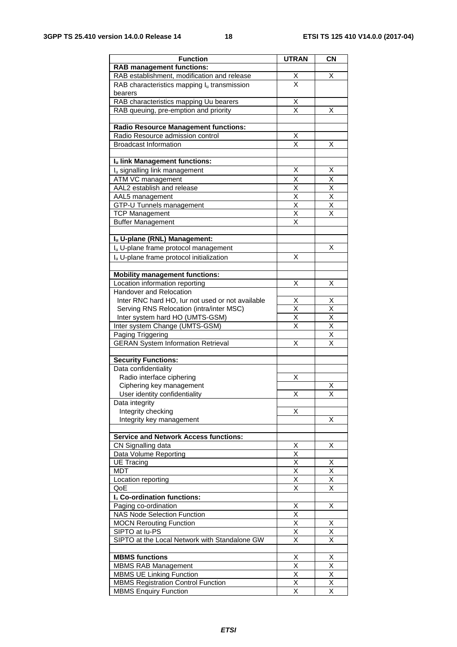| <b>RAB management functions:</b><br>RAB establishment, modification and release<br>х<br>$\frac{\mathsf{x}}{\mathsf{x}}$<br>RAB characteristics mapping $I_u$ transmission<br>bearers<br>RAB characteristics mapping Uu bearers<br>Χ<br>X<br>RAB queuing, pre-emption and priority<br>х<br><b>Radio Resource Management functions:</b><br>Radio Resource admission control<br>X<br>$\overline{\mathsf{x}}$<br><b>Broadcast Information</b><br>x<br>Iu link Management functions:<br>Χ<br>X<br>I <sub>u</sub> signalling link management<br>X<br>ATM VC management<br>Χ<br>AAL2 establish and release<br>X<br>Χ<br>$\frac{X}{X}$<br>$\frac{\overline{x}}{\overline{x}}$<br>AAL5 management<br>GTP-U Tunnels management<br>$\overline{\mathsf{x}}$<br>$\overline{\mathsf{x}}$<br><b>TCP Management</b><br>Χ<br><b>Buffer Management</b><br>Iu U-plane (RNL) Management:<br>I <sub>u</sub> U-plane frame protocol management<br>X.<br>X<br>Iu U-plane frame protocol initialization<br><b>Mobility management functions:</b><br>Location information reporting<br>Χ<br>х<br><b>Handover and Relocation</b><br>Inter RNC hard HO, lur not used or not available<br>х<br>х<br>$\overline{\mathsf{x}}$<br>X<br>Serving RNS Relocation (intra/inter MSC)<br>X<br>X<br>Inter system hard HO (UMTS-GSM)<br>$\overline{\mathsf{x}}$<br>$\overline{\mathsf{x}}$<br>Inter system Change (UMTS-GSM)<br>$\overline{\mathsf{x}}$<br>Paging Triggering<br>X<br><b>GERAN System Information Retrieval</b><br>Χ<br><b>Security Functions:</b><br>Data confidentiality<br>Radio interface ciphering<br>Χ<br>Ciphering key management<br>X<br>$\overline{\mathsf{x}}$<br>User identity confidentiality<br>X<br>Data integrity<br>Integrity checking<br>х<br>Χ<br>Integrity key management<br><b>Service and Network Access functions:</b><br>CN Signalling data<br>Χ<br>х<br>$\overline{\mathsf{x}}$<br>Data Volume Reporting<br>$\overline{\mathsf{x}}$<br><b>UE Tracing</b><br>х<br>$\overline{\mathsf{x}}$<br>$\overline{\mathsf{x}}$<br><b>MDT</b><br>X<br>Χ<br>Location reporting<br>X<br>X<br>QoE<br>Iu Co-ordination functions:<br>Paging co-ordination<br>Χ<br>Χ<br><b>NAS Node Selection Function</b><br>X<br>$\overline{\mathsf{x}}$<br>Χ<br><b>MOCN Rerouting Function</b><br>$\overline{\mathsf{x}}$<br>X<br>SIPTO at lu-PS<br>X<br>X<br>SIPTO at the Local Network with Standalone GW<br><b>MBMS functions</b><br>X<br>Χ<br>$\overline{\mathsf{x}}$<br>$\overline{\mathsf{x}}$<br><b>MBMS RAB Management</b><br>$\overline{\mathsf{x}}$<br>$\overline{\mathsf{x}}$<br><b>MBMS UE Linking Function</b><br>$\overline{\mathsf{x}}$<br>$\overline{\mathsf{x}}$<br><b>MBMS Registration Control Function</b> | <b>Function</b>              | <b>UTRAN</b>            | <b>CN</b>               |
|--------------------------------------------------------------------------------------------------------------------------------------------------------------------------------------------------------------------------------------------------------------------------------------------------------------------------------------------------------------------------------------------------------------------------------------------------------------------------------------------------------------------------------------------------------------------------------------------------------------------------------------------------------------------------------------------------------------------------------------------------------------------------------------------------------------------------------------------------------------------------------------------------------------------------------------------------------------------------------------------------------------------------------------------------------------------------------------------------------------------------------------------------------------------------------------------------------------------------------------------------------------------------------------------------------------------------------------------------------------------------------------------------------------------------------------------------------------------------------------------------------------------------------------------------------------------------------------------------------------------------------------------------------------------------------------------------------------------------------------------------------------------------------------------------------------------------------------------------------------------------------------------------------------------------------------------------------------------------------------------------------------------------------------------------------------------------------------------------------------------------------------------------------------------------------------------------------------------------------------------------------------------------------------------------------------------------------------------------------------------------------------------------------------------------------------------------------------------------------------------------------------------------------------------------------------------------------------------------------------------------------------------------------------------------------------------------|------------------------------|-------------------------|-------------------------|
|                                                                                                                                                                                                                                                                                                                                                                                                                                                                                                                                                                                                                                                                                                                                                                                                                                                                                                                                                                                                                                                                                                                                                                                                                                                                                                                                                                                                                                                                                                                                                                                                                                                                                                                                                                                                                                                                                                                                                                                                                                                                                                                                                                                                                                                                                                                                                                                                                                                                                                                                                                                                                                                                                                  |                              |                         |                         |
|                                                                                                                                                                                                                                                                                                                                                                                                                                                                                                                                                                                                                                                                                                                                                                                                                                                                                                                                                                                                                                                                                                                                                                                                                                                                                                                                                                                                                                                                                                                                                                                                                                                                                                                                                                                                                                                                                                                                                                                                                                                                                                                                                                                                                                                                                                                                                                                                                                                                                                                                                                                                                                                                                                  |                              |                         |                         |
|                                                                                                                                                                                                                                                                                                                                                                                                                                                                                                                                                                                                                                                                                                                                                                                                                                                                                                                                                                                                                                                                                                                                                                                                                                                                                                                                                                                                                                                                                                                                                                                                                                                                                                                                                                                                                                                                                                                                                                                                                                                                                                                                                                                                                                                                                                                                                                                                                                                                                                                                                                                                                                                                                                  |                              |                         |                         |
|                                                                                                                                                                                                                                                                                                                                                                                                                                                                                                                                                                                                                                                                                                                                                                                                                                                                                                                                                                                                                                                                                                                                                                                                                                                                                                                                                                                                                                                                                                                                                                                                                                                                                                                                                                                                                                                                                                                                                                                                                                                                                                                                                                                                                                                                                                                                                                                                                                                                                                                                                                                                                                                                                                  |                              |                         |                         |
|                                                                                                                                                                                                                                                                                                                                                                                                                                                                                                                                                                                                                                                                                                                                                                                                                                                                                                                                                                                                                                                                                                                                                                                                                                                                                                                                                                                                                                                                                                                                                                                                                                                                                                                                                                                                                                                                                                                                                                                                                                                                                                                                                                                                                                                                                                                                                                                                                                                                                                                                                                                                                                                                                                  |                              |                         |                         |
|                                                                                                                                                                                                                                                                                                                                                                                                                                                                                                                                                                                                                                                                                                                                                                                                                                                                                                                                                                                                                                                                                                                                                                                                                                                                                                                                                                                                                                                                                                                                                                                                                                                                                                                                                                                                                                                                                                                                                                                                                                                                                                                                                                                                                                                                                                                                                                                                                                                                                                                                                                                                                                                                                                  |                              |                         |                         |
|                                                                                                                                                                                                                                                                                                                                                                                                                                                                                                                                                                                                                                                                                                                                                                                                                                                                                                                                                                                                                                                                                                                                                                                                                                                                                                                                                                                                                                                                                                                                                                                                                                                                                                                                                                                                                                                                                                                                                                                                                                                                                                                                                                                                                                                                                                                                                                                                                                                                                                                                                                                                                                                                                                  |                              |                         |                         |
|                                                                                                                                                                                                                                                                                                                                                                                                                                                                                                                                                                                                                                                                                                                                                                                                                                                                                                                                                                                                                                                                                                                                                                                                                                                                                                                                                                                                                                                                                                                                                                                                                                                                                                                                                                                                                                                                                                                                                                                                                                                                                                                                                                                                                                                                                                                                                                                                                                                                                                                                                                                                                                                                                                  |                              |                         |                         |
|                                                                                                                                                                                                                                                                                                                                                                                                                                                                                                                                                                                                                                                                                                                                                                                                                                                                                                                                                                                                                                                                                                                                                                                                                                                                                                                                                                                                                                                                                                                                                                                                                                                                                                                                                                                                                                                                                                                                                                                                                                                                                                                                                                                                                                                                                                                                                                                                                                                                                                                                                                                                                                                                                                  |                              |                         |                         |
|                                                                                                                                                                                                                                                                                                                                                                                                                                                                                                                                                                                                                                                                                                                                                                                                                                                                                                                                                                                                                                                                                                                                                                                                                                                                                                                                                                                                                                                                                                                                                                                                                                                                                                                                                                                                                                                                                                                                                                                                                                                                                                                                                                                                                                                                                                                                                                                                                                                                                                                                                                                                                                                                                                  |                              |                         |                         |
|                                                                                                                                                                                                                                                                                                                                                                                                                                                                                                                                                                                                                                                                                                                                                                                                                                                                                                                                                                                                                                                                                                                                                                                                                                                                                                                                                                                                                                                                                                                                                                                                                                                                                                                                                                                                                                                                                                                                                                                                                                                                                                                                                                                                                                                                                                                                                                                                                                                                                                                                                                                                                                                                                                  |                              |                         |                         |
|                                                                                                                                                                                                                                                                                                                                                                                                                                                                                                                                                                                                                                                                                                                                                                                                                                                                                                                                                                                                                                                                                                                                                                                                                                                                                                                                                                                                                                                                                                                                                                                                                                                                                                                                                                                                                                                                                                                                                                                                                                                                                                                                                                                                                                                                                                                                                                                                                                                                                                                                                                                                                                                                                                  |                              |                         |                         |
|                                                                                                                                                                                                                                                                                                                                                                                                                                                                                                                                                                                                                                                                                                                                                                                                                                                                                                                                                                                                                                                                                                                                                                                                                                                                                                                                                                                                                                                                                                                                                                                                                                                                                                                                                                                                                                                                                                                                                                                                                                                                                                                                                                                                                                                                                                                                                                                                                                                                                                                                                                                                                                                                                                  |                              |                         |                         |
|                                                                                                                                                                                                                                                                                                                                                                                                                                                                                                                                                                                                                                                                                                                                                                                                                                                                                                                                                                                                                                                                                                                                                                                                                                                                                                                                                                                                                                                                                                                                                                                                                                                                                                                                                                                                                                                                                                                                                                                                                                                                                                                                                                                                                                                                                                                                                                                                                                                                                                                                                                                                                                                                                                  |                              |                         |                         |
|                                                                                                                                                                                                                                                                                                                                                                                                                                                                                                                                                                                                                                                                                                                                                                                                                                                                                                                                                                                                                                                                                                                                                                                                                                                                                                                                                                                                                                                                                                                                                                                                                                                                                                                                                                                                                                                                                                                                                                                                                                                                                                                                                                                                                                                                                                                                                                                                                                                                                                                                                                                                                                                                                                  |                              |                         |                         |
|                                                                                                                                                                                                                                                                                                                                                                                                                                                                                                                                                                                                                                                                                                                                                                                                                                                                                                                                                                                                                                                                                                                                                                                                                                                                                                                                                                                                                                                                                                                                                                                                                                                                                                                                                                                                                                                                                                                                                                                                                                                                                                                                                                                                                                                                                                                                                                                                                                                                                                                                                                                                                                                                                                  |                              |                         |                         |
|                                                                                                                                                                                                                                                                                                                                                                                                                                                                                                                                                                                                                                                                                                                                                                                                                                                                                                                                                                                                                                                                                                                                                                                                                                                                                                                                                                                                                                                                                                                                                                                                                                                                                                                                                                                                                                                                                                                                                                                                                                                                                                                                                                                                                                                                                                                                                                                                                                                                                                                                                                                                                                                                                                  |                              |                         |                         |
|                                                                                                                                                                                                                                                                                                                                                                                                                                                                                                                                                                                                                                                                                                                                                                                                                                                                                                                                                                                                                                                                                                                                                                                                                                                                                                                                                                                                                                                                                                                                                                                                                                                                                                                                                                                                                                                                                                                                                                                                                                                                                                                                                                                                                                                                                                                                                                                                                                                                                                                                                                                                                                                                                                  |                              |                         |                         |
|                                                                                                                                                                                                                                                                                                                                                                                                                                                                                                                                                                                                                                                                                                                                                                                                                                                                                                                                                                                                                                                                                                                                                                                                                                                                                                                                                                                                                                                                                                                                                                                                                                                                                                                                                                                                                                                                                                                                                                                                                                                                                                                                                                                                                                                                                                                                                                                                                                                                                                                                                                                                                                                                                                  |                              |                         |                         |
|                                                                                                                                                                                                                                                                                                                                                                                                                                                                                                                                                                                                                                                                                                                                                                                                                                                                                                                                                                                                                                                                                                                                                                                                                                                                                                                                                                                                                                                                                                                                                                                                                                                                                                                                                                                                                                                                                                                                                                                                                                                                                                                                                                                                                                                                                                                                                                                                                                                                                                                                                                                                                                                                                                  |                              |                         |                         |
|                                                                                                                                                                                                                                                                                                                                                                                                                                                                                                                                                                                                                                                                                                                                                                                                                                                                                                                                                                                                                                                                                                                                                                                                                                                                                                                                                                                                                                                                                                                                                                                                                                                                                                                                                                                                                                                                                                                                                                                                                                                                                                                                                                                                                                                                                                                                                                                                                                                                                                                                                                                                                                                                                                  |                              |                         |                         |
|                                                                                                                                                                                                                                                                                                                                                                                                                                                                                                                                                                                                                                                                                                                                                                                                                                                                                                                                                                                                                                                                                                                                                                                                                                                                                                                                                                                                                                                                                                                                                                                                                                                                                                                                                                                                                                                                                                                                                                                                                                                                                                                                                                                                                                                                                                                                                                                                                                                                                                                                                                                                                                                                                                  |                              |                         |                         |
|                                                                                                                                                                                                                                                                                                                                                                                                                                                                                                                                                                                                                                                                                                                                                                                                                                                                                                                                                                                                                                                                                                                                                                                                                                                                                                                                                                                                                                                                                                                                                                                                                                                                                                                                                                                                                                                                                                                                                                                                                                                                                                                                                                                                                                                                                                                                                                                                                                                                                                                                                                                                                                                                                                  |                              |                         |                         |
|                                                                                                                                                                                                                                                                                                                                                                                                                                                                                                                                                                                                                                                                                                                                                                                                                                                                                                                                                                                                                                                                                                                                                                                                                                                                                                                                                                                                                                                                                                                                                                                                                                                                                                                                                                                                                                                                                                                                                                                                                                                                                                                                                                                                                                                                                                                                                                                                                                                                                                                                                                                                                                                                                                  |                              |                         |                         |
|                                                                                                                                                                                                                                                                                                                                                                                                                                                                                                                                                                                                                                                                                                                                                                                                                                                                                                                                                                                                                                                                                                                                                                                                                                                                                                                                                                                                                                                                                                                                                                                                                                                                                                                                                                                                                                                                                                                                                                                                                                                                                                                                                                                                                                                                                                                                                                                                                                                                                                                                                                                                                                                                                                  |                              |                         |                         |
|                                                                                                                                                                                                                                                                                                                                                                                                                                                                                                                                                                                                                                                                                                                                                                                                                                                                                                                                                                                                                                                                                                                                                                                                                                                                                                                                                                                                                                                                                                                                                                                                                                                                                                                                                                                                                                                                                                                                                                                                                                                                                                                                                                                                                                                                                                                                                                                                                                                                                                                                                                                                                                                                                                  |                              |                         |                         |
|                                                                                                                                                                                                                                                                                                                                                                                                                                                                                                                                                                                                                                                                                                                                                                                                                                                                                                                                                                                                                                                                                                                                                                                                                                                                                                                                                                                                                                                                                                                                                                                                                                                                                                                                                                                                                                                                                                                                                                                                                                                                                                                                                                                                                                                                                                                                                                                                                                                                                                                                                                                                                                                                                                  |                              |                         |                         |
|                                                                                                                                                                                                                                                                                                                                                                                                                                                                                                                                                                                                                                                                                                                                                                                                                                                                                                                                                                                                                                                                                                                                                                                                                                                                                                                                                                                                                                                                                                                                                                                                                                                                                                                                                                                                                                                                                                                                                                                                                                                                                                                                                                                                                                                                                                                                                                                                                                                                                                                                                                                                                                                                                                  |                              |                         |                         |
|                                                                                                                                                                                                                                                                                                                                                                                                                                                                                                                                                                                                                                                                                                                                                                                                                                                                                                                                                                                                                                                                                                                                                                                                                                                                                                                                                                                                                                                                                                                                                                                                                                                                                                                                                                                                                                                                                                                                                                                                                                                                                                                                                                                                                                                                                                                                                                                                                                                                                                                                                                                                                                                                                                  |                              |                         |                         |
|                                                                                                                                                                                                                                                                                                                                                                                                                                                                                                                                                                                                                                                                                                                                                                                                                                                                                                                                                                                                                                                                                                                                                                                                                                                                                                                                                                                                                                                                                                                                                                                                                                                                                                                                                                                                                                                                                                                                                                                                                                                                                                                                                                                                                                                                                                                                                                                                                                                                                                                                                                                                                                                                                                  |                              |                         |                         |
|                                                                                                                                                                                                                                                                                                                                                                                                                                                                                                                                                                                                                                                                                                                                                                                                                                                                                                                                                                                                                                                                                                                                                                                                                                                                                                                                                                                                                                                                                                                                                                                                                                                                                                                                                                                                                                                                                                                                                                                                                                                                                                                                                                                                                                                                                                                                                                                                                                                                                                                                                                                                                                                                                                  |                              |                         |                         |
|                                                                                                                                                                                                                                                                                                                                                                                                                                                                                                                                                                                                                                                                                                                                                                                                                                                                                                                                                                                                                                                                                                                                                                                                                                                                                                                                                                                                                                                                                                                                                                                                                                                                                                                                                                                                                                                                                                                                                                                                                                                                                                                                                                                                                                                                                                                                                                                                                                                                                                                                                                                                                                                                                                  |                              |                         |                         |
|                                                                                                                                                                                                                                                                                                                                                                                                                                                                                                                                                                                                                                                                                                                                                                                                                                                                                                                                                                                                                                                                                                                                                                                                                                                                                                                                                                                                                                                                                                                                                                                                                                                                                                                                                                                                                                                                                                                                                                                                                                                                                                                                                                                                                                                                                                                                                                                                                                                                                                                                                                                                                                                                                                  |                              |                         |                         |
|                                                                                                                                                                                                                                                                                                                                                                                                                                                                                                                                                                                                                                                                                                                                                                                                                                                                                                                                                                                                                                                                                                                                                                                                                                                                                                                                                                                                                                                                                                                                                                                                                                                                                                                                                                                                                                                                                                                                                                                                                                                                                                                                                                                                                                                                                                                                                                                                                                                                                                                                                                                                                                                                                                  |                              |                         |                         |
|                                                                                                                                                                                                                                                                                                                                                                                                                                                                                                                                                                                                                                                                                                                                                                                                                                                                                                                                                                                                                                                                                                                                                                                                                                                                                                                                                                                                                                                                                                                                                                                                                                                                                                                                                                                                                                                                                                                                                                                                                                                                                                                                                                                                                                                                                                                                                                                                                                                                                                                                                                                                                                                                                                  |                              |                         |                         |
|                                                                                                                                                                                                                                                                                                                                                                                                                                                                                                                                                                                                                                                                                                                                                                                                                                                                                                                                                                                                                                                                                                                                                                                                                                                                                                                                                                                                                                                                                                                                                                                                                                                                                                                                                                                                                                                                                                                                                                                                                                                                                                                                                                                                                                                                                                                                                                                                                                                                                                                                                                                                                                                                                                  |                              |                         |                         |
|                                                                                                                                                                                                                                                                                                                                                                                                                                                                                                                                                                                                                                                                                                                                                                                                                                                                                                                                                                                                                                                                                                                                                                                                                                                                                                                                                                                                                                                                                                                                                                                                                                                                                                                                                                                                                                                                                                                                                                                                                                                                                                                                                                                                                                                                                                                                                                                                                                                                                                                                                                                                                                                                                                  |                              |                         |                         |
|                                                                                                                                                                                                                                                                                                                                                                                                                                                                                                                                                                                                                                                                                                                                                                                                                                                                                                                                                                                                                                                                                                                                                                                                                                                                                                                                                                                                                                                                                                                                                                                                                                                                                                                                                                                                                                                                                                                                                                                                                                                                                                                                                                                                                                                                                                                                                                                                                                                                                                                                                                                                                                                                                                  |                              |                         |                         |
|                                                                                                                                                                                                                                                                                                                                                                                                                                                                                                                                                                                                                                                                                                                                                                                                                                                                                                                                                                                                                                                                                                                                                                                                                                                                                                                                                                                                                                                                                                                                                                                                                                                                                                                                                                                                                                                                                                                                                                                                                                                                                                                                                                                                                                                                                                                                                                                                                                                                                                                                                                                                                                                                                                  |                              |                         |                         |
|                                                                                                                                                                                                                                                                                                                                                                                                                                                                                                                                                                                                                                                                                                                                                                                                                                                                                                                                                                                                                                                                                                                                                                                                                                                                                                                                                                                                                                                                                                                                                                                                                                                                                                                                                                                                                                                                                                                                                                                                                                                                                                                                                                                                                                                                                                                                                                                                                                                                                                                                                                                                                                                                                                  |                              |                         |                         |
|                                                                                                                                                                                                                                                                                                                                                                                                                                                                                                                                                                                                                                                                                                                                                                                                                                                                                                                                                                                                                                                                                                                                                                                                                                                                                                                                                                                                                                                                                                                                                                                                                                                                                                                                                                                                                                                                                                                                                                                                                                                                                                                                                                                                                                                                                                                                                                                                                                                                                                                                                                                                                                                                                                  |                              |                         |                         |
|                                                                                                                                                                                                                                                                                                                                                                                                                                                                                                                                                                                                                                                                                                                                                                                                                                                                                                                                                                                                                                                                                                                                                                                                                                                                                                                                                                                                                                                                                                                                                                                                                                                                                                                                                                                                                                                                                                                                                                                                                                                                                                                                                                                                                                                                                                                                                                                                                                                                                                                                                                                                                                                                                                  |                              |                         |                         |
|                                                                                                                                                                                                                                                                                                                                                                                                                                                                                                                                                                                                                                                                                                                                                                                                                                                                                                                                                                                                                                                                                                                                                                                                                                                                                                                                                                                                                                                                                                                                                                                                                                                                                                                                                                                                                                                                                                                                                                                                                                                                                                                                                                                                                                                                                                                                                                                                                                                                                                                                                                                                                                                                                                  |                              |                         |                         |
|                                                                                                                                                                                                                                                                                                                                                                                                                                                                                                                                                                                                                                                                                                                                                                                                                                                                                                                                                                                                                                                                                                                                                                                                                                                                                                                                                                                                                                                                                                                                                                                                                                                                                                                                                                                                                                                                                                                                                                                                                                                                                                                                                                                                                                                                                                                                                                                                                                                                                                                                                                                                                                                                                                  |                              |                         |                         |
|                                                                                                                                                                                                                                                                                                                                                                                                                                                                                                                                                                                                                                                                                                                                                                                                                                                                                                                                                                                                                                                                                                                                                                                                                                                                                                                                                                                                                                                                                                                                                                                                                                                                                                                                                                                                                                                                                                                                                                                                                                                                                                                                                                                                                                                                                                                                                                                                                                                                                                                                                                                                                                                                                                  |                              |                         |                         |
|                                                                                                                                                                                                                                                                                                                                                                                                                                                                                                                                                                                                                                                                                                                                                                                                                                                                                                                                                                                                                                                                                                                                                                                                                                                                                                                                                                                                                                                                                                                                                                                                                                                                                                                                                                                                                                                                                                                                                                                                                                                                                                                                                                                                                                                                                                                                                                                                                                                                                                                                                                                                                                                                                                  |                              |                         |                         |
|                                                                                                                                                                                                                                                                                                                                                                                                                                                                                                                                                                                                                                                                                                                                                                                                                                                                                                                                                                                                                                                                                                                                                                                                                                                                                                                                                                                                                                                                                                                                                                                                                                                                                                                                                                                                                                                                                                                                                                                                                                                                                                                                                                                                                                                                                                                                                                                                                                                                                                                                                                                                                                                                                                  |                              |                         |                         |
|                                                                                                                                                                                                                                                                                                                                                                                                                                                                                                                                                                                                                                                                                                                                                                                                                                                                                                                                                                                                                                                                                                                                                                                                                                                                                                                                                                                                                                                                                                                                                                                                                                                                                                                                                                                                                                                                                                                                                                                                                                                                                                                                                                                                                                                                                                                                                                                                                                                                                                                                                                                                                                                                                                  |                              |                         |                         |
|                                                                                                                                                                                                                                                                                                                                                                                                                                                                                                                                                                                                                                                                                                                                                                                                                                                                                                                                                                                                                                                                                                                                                                                                                                                                                                                                                                                                                                                                                                                                                                                                                                                                                                                                                                                                                                                                                                                                                                                                                                                                                                                                                                                                                                                                                                                                                                                                                                                                                                                                                                                                                                                                                                  |                              |                         |                         |
|                                                                                                                                                                                                                                                                                                                                                                                                                                                                                                                                                                                                                                                                                                                                                                                                                                                                                                                                                                                                                                                                                                                                                                                                                                                                                                                                                                                                                                                                                                                                                                                                                                                                                                                                                                                                                                                                                                                                                                                                                                                                                                                                                                                                                                                                                                                                                                                                                                                                                                                                                                                                                                                                                                  |                              |                         |                         |
|                                                                                                                                                                                                                                                                                                                                                                                                                                                                                                                                                                                                                                                                                                                                                                                                                                                                                                                                                                                                                                                                                                                                                                                                                                                                                                                                                                                                                                                                                                                                                                                                                                                                                                                                                                                                                                                                                                                                                                                                                                                                                                                                                                                                                                                                                                                                                                                                                                                                                                                                                                                                                                                                                                  |                              |                         |                         |
|                                                                                                                                                                                                                                                                                                                                                                                                                                                                                                                                                                                                                                                                                                                                                                                                                                                                                                                                                                                                                                                                                                                                                                                                                                                                                                                                                                                                                                                                                                                                                                                                                                                                                                                                                                                                                                                                                                                                                                                                                                                                                                                                                                                                                                                                                                                                                                                                                                                                                                                                                                                                                                                                                                  |                              |                         |                         |
|                                                                                                                                                                                                                                                                                                                                                                                                                                                                                                                                                                                                                                                                                                                                                                                                                                                                                                                                                                                                                                                                                                                                                                                                                                                                                                                                                                                                                                                                                                                                                                                                                                                                                                                                                                                                                                                                                                                                                                                                                                                                                                                                                                                                                                                                                                                                                                                                                                                                                                                                                                                                                                                                                                  |                              |                         |                         |
|                                                                                                                                                                                                                                                                                                                                                                                                                                                                                                                                                                                                                                                                                                                                                                                                                                                                                                                                                                                                                                                                                                                                                                                                                                                                                                                                                                                                                                                                                                                                                                                                                                                                                                                                                                                                                                                                                                                                                                                                                                                                                                                                                                                                                                                                                                                                                                                                                                                                                                                                                                                                                                                                                                  |                              |                         |                         |
|                                                                                                                                                                                                                                                                                                                                                                                                                                                                                                                                                                                                                                                                                                                                                                                                                                                                                                                                                                                                                                                                                                                                                                                                                                                                                                                                                                                                                                                                                                                                                                                                                                                                                                                                                                                                                                                                                                                                                                                                                                                                                                                                                                                                                                                                                                                                                                                                                                                                                                                                                                                                                                                                                                  |                              |                         |                         |
|                                                                                                                                                                                                                                                                                                                                                                                                                                                                                                                                                                                                                                                                                                                                                                                                                                                                                                                                                                                                                                                                                                                                                                                                                                                                                                                                                                                                                                                                                                                                                                                                                                                                                                                                                                                                                                                                                                                                                                                                                                                                                                                                                                                                                                                                                                                                                                                                                                                                                                                                                                                                                                                                                                  |                              |                         |                         |
|                                                                                                                                                                                                                                                                                                                                                                                                                                                                                                                                                                                                                                                                                                                                                                                                                                                                                                                                                                                                                                                                                                                                                                                                                                                                                                                                                                                                                                                                                                                                                                                                                                                                                                                                                                                                                                                                                                                                                                                                                                                                                                                                                                                                                                                                                                                                                                                                                                                                                                                                                                                                                                                                                                  |                              |                         |                         |
|                                                                                                                                                                                                                                                                                                                                                                                                                                                                                                                                                                                                                                                                                                                                                                                                                                                                                                                                                                                                                                                                                                                                                                                                                                                                                                                                                                                                                                                                                                                                                                                                                                                                                                                                                                                                                                                                                                                                                                                                                                                                                                                                                                                                                                                                                                                                                                                                                                                                                                                                                                                                                                                                                                  |                              |                         |                         |
|                                                                                                                                                                                                                                                                                                                                                                                                                                                                                                                                                                                                                                                                                                                                                                                                                                                                                                                                                                                                                                                                                                                                                                                                                                                                                                                                                                                                                                                                                                                                                                                                                                                                                                                                                                                                                                                                                                                                                                                                                                                                                                                                                                                                                                                                                                                                                                                                                                                                                                                                                                                                                                                                                                  |                              |                         |                         |
|                                                                                                                                                                                                                                                                                                                                                                                                                                                                                                                                                                                                                                                                                                                                                                                                                                                                                                                                                                                                                                                                                                                                                                                                                                                                                                                                                                                                                                                                                                                                                                                                                                                                                                                                                                                                                                                                                                                                                                                                                                                                                                                                                                                                                                                                                                                                                                                                                                                                                                                                                                                                                                                                                                  |                              |                         |                         |
|                                                                                                                                                                                                                                                                                                                                                                                                                                                                                                                                                                                                                                                                                                                                                                                                                                                                                                                                                                                                                                                                                                                                                                                                                                                                                                                                                                                                                                                                                                                                                                                                                                                                                                                                                                                                                                                                                                                                                                                                                                                                                                                                                                                                                                                                                                                                                                                                                                                                                                                                                                                                                                                                                                  |                              |                         |                         |
|                                                                                                                                                                                                                                                                                                                                                                                                                                                                                                                                                                                                                                                                                                                                                                                                                                                                                                                                                                                                                                                                                                                                                                                                                                                                                                                                                                                                                                                                                                                                                                                                                                                                                                                                                                                                                                                                                                                                                                                                                                                                                                                                                                                                                                                                                                                                                                                                                                                                                                                                                                                                                                                                                                  |                              |                         |                         |
|                                                                                                                                                                                                                                                                                                                                                                                                                                                                                                                                                                                                                                                                                                                                                                                                                                                                                                                                                                                                                                                                                                                                                                                                                                                                                                                                                                                                                                                                                                                                                                                                                                                                                                                                                                                                                                                                                                                                                                                                                                                                                                                                                                                                                                                                                                                                                                                                                                                                                                                                                                                                                                                                                                  | <b>MBMS Enquiry Function</b> | $\overline{\mathsf{x}}$ | $\overline{\mathsf{x}}$ |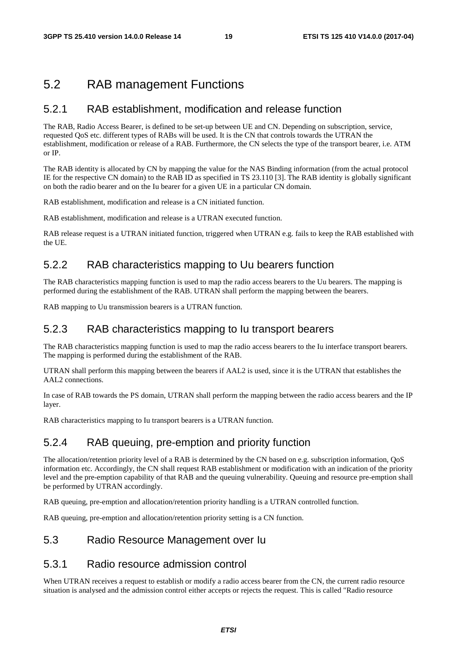### 5.2 RAB management Functions

#### 5.2.1 RAB establishment, modification and release function

The RAB, Radio Access Bearer, is defined to be set-up between UE and CN. Depending on subscription, service, requested QoS etc. different types of RABs will be used. It is the CN that controls towards the UTRAN the establishment, modification or release of a RAB. Furthermore, the CN selects the type of the transport bearer, i.e. ATM or IP.

The RAB identity is allocated by CN by mapping the value for the NAS Binding information (from the actual protocol IE for the respective CN domain) to the RAB ID as specified in TS 23.110 [3]. The RAB identity is globally significant on both the radio bearer and on the Iu bearer for a given UE in a particular CN domain.

RAB establishment, modification and release is a CN initiated function.

RAB establishment, modification and release is a UTRAN executed function.

RAB release request is a UTRAN initiated function, triggered when UTRAN e.g. fails to keep the RAB established with the UE.

### 5.2.2 RAB characteristics mapping to Uu bearers function

The RAB characteristics mapping function is used to map the radio access bearers to the Uu bearers. The mapping is performed during the establishment of the RAB. UTRAN shall perform the mapping between the bearers.

RAB mapping to Uu transmission bearers is a UTRAN function.

#### 5.2.3 RAB characteristics mapping to Iu transport bearers

The RAB characteristics mapping function is used to map the radio access bearers to the Iu interface transport bearers. The mapping is performed during the establishment of the RAB.

UTRAN shall perform this mapping between the bearers if AAL2 is used, since it is the UTRAN that establishes the AAL2 connections.

In case of RAB towards the PS domain, UTRAN shall perform the mapping between the radio access bearers and the IP layer.

RAB characteristics mapping to Iu transport bearers is a UTRAN function.

#### 5.2.4 RAB queuing, pre-emption and priority function

The allocation/retention priority level of a RAB is determined by the CN based on e.g. subscription information, QoS information etc. Accordingly, the CN shall request RAB establishment or modification with an indication of the priority level and the pre-emption capability of that RAB and the queuing vulnerability. Queuing and resource pre-emption shall be performed by UTRAN accordingly.

RAB queuing, pre-emption and allocation/retention priority handling is a UTRAN controlled function.

RAB queuing, pre-emption and allocation/retention priority setting is a CN function.

#### 5.3 Radio Resource Management over Iu

#### 5.3.1 Radio resource admission control

When UTRAN receives a request to establish or modify a radio access bearer from the CN, the current radio resource situation is analysed and the admission control either accepts or rejects the request. This is called "Radio resource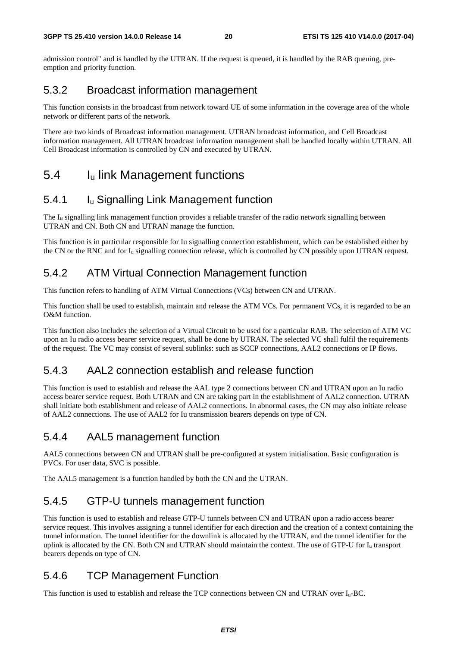admission control" and is handled by the UTRAN. If the request is queued, it is handled by the RAB queuing, preemption and priority function.

#### 5.3.2 Broadcast information management

This function consists in the broadcast from network toward UE of some information in the coverage area of the whole network or different parts of the network.

There are two kinds of Broadcast information management. UTRAN broadcast information, and Cell Broadcast information management. All UTRAN broadcast information management shall be handled locally within UTRAN. All Cell Broadcast information is controlled by CN and executed by UTRAN.

# 5.4 Iu link Management functions

#### 5.4.1 Iu Signalling Link Management function

The Iu signalling link management function provides a reliable transfer of the radio network signalling between UTRAN and CN. Both CN and UTRAN manage the function.

This function is in particular responsible for Iu signalling connection establishment, which can be established either by the CN or the RNC and for  $I_u$  signalling connection release, which is controlled by CN possibly upon UTRAN request.

### 5.4.2 ATM Virtual Connection Management function

This function refers to handling of ATM Virtual Connections (VCs) between CN and UTRAN.

This function shall be used to establish, maintain and release the ATM VCs. For permanent VCs, it is regarded to be an O&M function.

This function also includes the selection of a Virtual Circuit to be used for a particular RAB. The selection of ATM VC upon an Iu radio access bearer service request, shall be done by UTRAN. The selected VC shall fulfil the requirements of the request. The VC may consist of several sublinks: such as SCCP connections, AAL2 connections or IP flows.

### 5.4.3 AAL2 connection establish and release function

This function is used to establish and release the AAL type 2 connections between CN and UTRAN upon an Iu radio access bearer service request. Both UTRAN and CN are taking part in the establishment of AAL2 connection. UTRAN shall initiate both establishment and release of AAL2 connections. In abnormal cases, the CN may also initiate release of AAL2 connections. The use of AAL2 for Iu transmission bearers depends on type of CN.

#### 5.4.4 AAL5 management function

AAL5 connections between CN and UTRAN shall be pre-configured at system initialisation. Basic configuration is PVCs. For user data, SVC is possible.

The AAL5 management is a function handled by both the CN and the UTRAN.

#### 5.4.5 GTP-U tunnels management function

This function is used to establish and release GTP-U tunnels between CN and UTRAN upon a radio access bearer service request. This involves assigning a tunnel identifier for each direction and the creation of a context containing the tunnel information. The tunnel identifier for the downlink is allocated by the UTRAN, and the tunnel identifier for the uplink is allocated by the CN. Both CN and UTRAN should maintain the context. The use of GTP-U for I<sub>u</sub> transport bearers depends on type of CN.

### 5.4.6 TCP Management Function

This function is used to establish and release the TCP connections between CN and UTRAN over Iu-BC.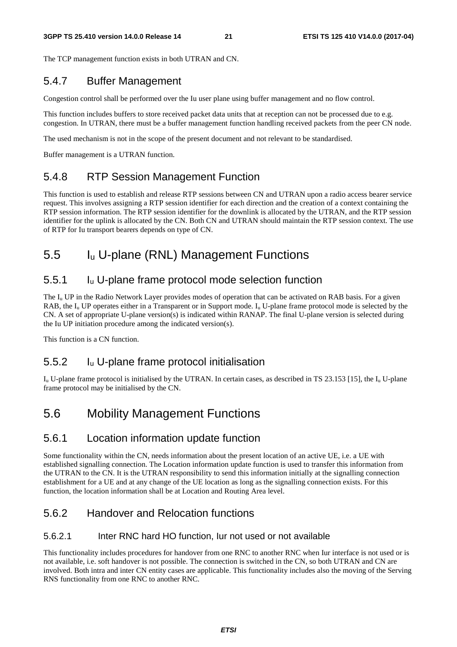The TCP management function exists in both UTRAN and CN.

### 5.4.7 Buffer Management

Congestion control shall be performed over the Iu user plane using buffer management and no flow control.

This function includes buffers to store received packet data units that at reception can not be processed due to e.g. congestion. In UTRAN, there must be a buffer management function handling received packets from the peer CN node.

The used mechanism is not in the scope of the present document and not relevant to be standardised.

Buffer management is a UTRAN function.

### 5.4.8 RTP Session Management Function

This function is used to establish and release RTP sessions between CN and UTRAN upon a radio access bearer service request. This involves assigning a RTP session identifier for each direction and the creation of a context containing the RTP session information. The RTP session identifier for the downlink is allocated by the UTRAN, and the RTP session identifier for the uplink is allocated by the CN. Both CN and UTRAN should maintain the RTP session context. The use of RTP for Iu transport bearers depends on type of CN.

# 5.5 Iu U-plane (RNL) Management Functions

### 5.5.1 Iu U-plane frame protocol mode selection function

The  $I_u$  UP in the Radio Network Layer provides modes of operation that can be activated on RAB basis. For a given RAB, the  $I_{\rm u}$  UP operates either in a Transparent or in Support mode.  $I_{\rm u}$  U-plane frame protocol mode is selected by the CN. A set of appropriate U-plane version(s) is indicated within RANAP. The final U-plane version is selected during the Iu UP initiation procedure among the indicated version(s).

This function is a CN function.

#### 5.5.2 Iu U-plane frame protocol initialisation

 $I_{u}$  U-plane frame protocol is initialised by the UTRAN. In certain cases, as described in TS 23.153 [15], the  $I_{u}$  U-plane frame protocol may be initialised by the CN.

# 5.6 Mobility Management Functions

### 5.6.1 Location information update function

Some functionality within the CN, needs information about the present location of an active UE, i.e. a UE with established signalling connection. The Location information update function is used to transfer this information from the UTRAN to the CN. It is the UTRAN responsibility to send this information initially at the signalling connection establishment for a UE and at any change of the UE location as long as the signalling connection exists. For this function, the location information shall be at Location and Routing Area level.

#### 5.6.2 Handover and Relocation functions

#### 5.6.2.1 Inter RNC hard HO function, Iur not used or not available

This functionality includes procedures for handover from one RNC to another RNC when Iur interface is not used or is not available, i.e. soft handover is not possible. The connection is switched in the CN, so both UTRAN and CN are involved. Both intra and inter CN entity cases are applicable. This functionality includes also the moving of the Serving RNS functionality from one RNC to another RNC.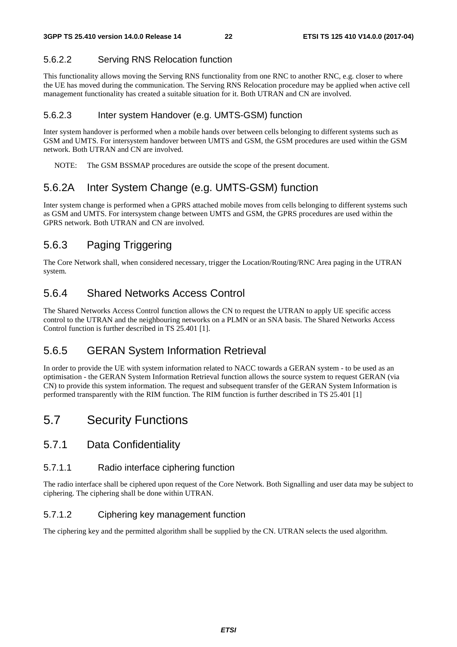#### 5.6.2.2 Serving RNS Relocation function

This functionality allows moving the Serving RNS functionality from one RNC to another RNC, e.g. closer to where the UE has moved during the communication. The Serving RNS Relocation procedure may be applied when active cell management functionality has created a suitable situation for it. Both UTRAN and CN are involved.

#### 5.6.2.3 Inter system Handover (e.g. UMTS-GSM) function

Inter system handover is performed when a mobile hands over between cells belonging to different systems such as GSM and UMTS. For intersystem handover between UMTS and GSM, the GSM procedures are used within the GSM network. Both UTRAN and CN are involved.

NOTE: The GSM BSSMAP procedures are outside the scope of the present document.

### 5.6.2A Inter System Change (e.g. UMTS-GSM) function

Inter system change is performed when a GPRS attached mobile moves from cells belonging to different systems such as GSM and UMTS. For intersystem change between UMTS and GSM, the GPRS procedures are used within the GPRS network. Both UTRAN and CN are involved.

### 5.6.3 Paging Triggering

The Core Network shall, when considered necessary, trigger the Location/Routing/RNC Area paging in the UTRAN system.

### 5.6.4 Shared Networks Access Control

The Shared Networks Access Control function allows the CN to request the UTRAN to apply UE specific access control to the UTRAN and the neighbouring networks on a PLMN or an SNA basis. The Shared Networks Access Control function is further described in TS 25.401 [1].

### 5.6.5 GERAN System Information Retrieval

In order to provide the UE with system information related to NACC towards a GERAN system - to be used as an optimisation - the GERAN System Information Retrieval function allows the source system to request GERAN (via CN) to provide this system information. The request and subsequent transfer of the GERAN System Information is performed transparently with the RIM function. The RIM function is further described in TS 25.401 [1]

# 5.7 Security Functions

#### 5.7.1 Data Confidentiality

#### 5.7.1.1 Radio interface ciphering function

The radio interface shall be ciphered upon request of the Core Network. Both Signalling and user data may be subject to ciphering. The ciphering shall be done within UTRAN.

#### 5.7.1.2 Ciphering key management function

The ciphering key and the permitted algorithm shall be supplied by the CN. UTRAN selects the used algorithm.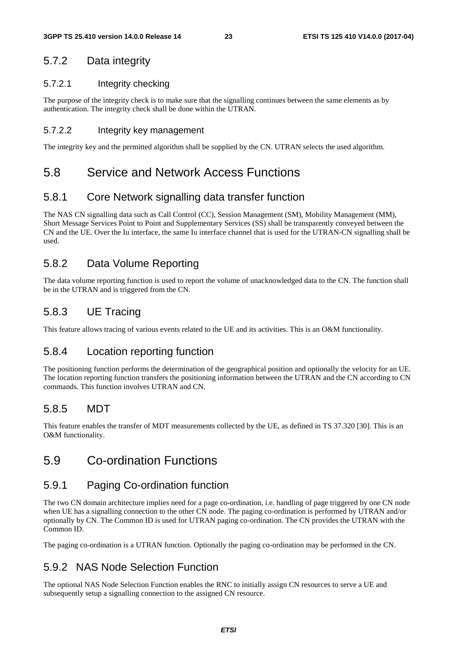### 5.7.2 Data integrity

#### 5.7.2.1 Integrity checking

The purpose of the integrity check is to make sure that the signalling continues between the same elements as by authentication. The integrity check shall be done within the UTRAN.

#### 5.7.2.2 Integrity key management

The integrity key and the permitted algorithm shall be supplied by the CN. UTRAN selects the used algorithm.

# 5.8 Service and Network Access Functions

### 5.8.1 Core Network signalling data transfer function

The NAS CN signalling data such as Call Control (CC), Session Management (SM), Mobility Management (MM), Short Message Services Point to Point and Supplementary Services (SS) shall be transparently conveyed between the CN and the UE. Over the Iu interface, the same Iu interface channel that is used for the UTRAN-CN signalling shall be used.

### 5.8.2 Data Volume Reporting

The data volume reporting function is used to report the volume of unacknowledged data to the CN. The function shall be in the UTRAN and is triggered from the CN.

### 5.8.3 UE Tracing

This feature allows tracing of various events related to the UE and its activities. This is an O&M functionality.

#### 5.8.4 Location reporting function

The positioning function performs the determination of the geographical position and optionally the velocity for an UE. The location reporting function transfers the positioning information between the UTRAN and the CN according to CN commands. This function involves UTRAN and CN.

### 5.8.5 MDT

This feature enables the transfer of MDT measurements collected by the UE, as defined in TS 37.320 [30]. This is an O&M functionality.

# 5.9 Co-ordination Functions

### 5.9.1 Paging Co-ordination function

The two CN domain architecture implies need for a page co-ordination, i.e. handling of page triggered by one CN node when UE has a signalling connection to the other CN node. The paging co-ordination is performed by UTRAN and/or optionally by CN. The Common ID is used for UTRAN paging co-ordination. The CN provides the UTRAN with the Common ID.

The paging co-ordination is a UTRAN function. Optionally the paging co-ordination may be performed in the CN.

### 5.9.2 NAS Node Selection Function

The optional NAS Node Selection Function enables the RNC to initially assign CN resources to serve a UE and subsequently setup a signalling connection to the assigned CN resource.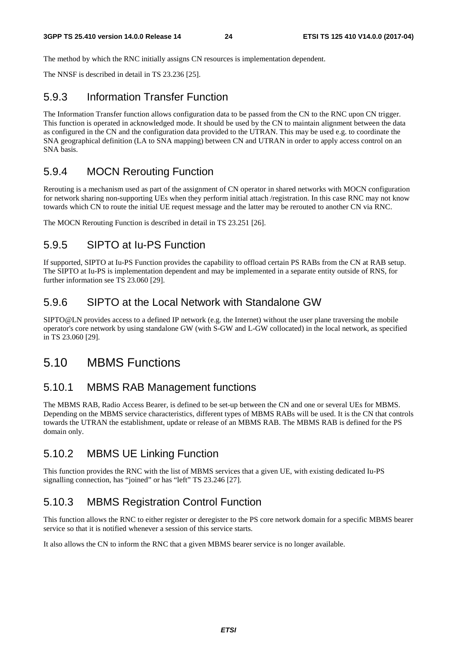The method by which the RNC initially assigns CN resources is implementation dependent.

The NNSF is described in detail in TS 23.236 [25].

#### 5.9.3 Information Transfer Function

The Information Transfer function allows configuration data to be passed from the CN to the RNC upon CN trigger. This function is operated in acknowledged mode. It should be used by the CN to maintain alignment between the data as configured in the CN and the configuration data provided to the UTRAN. This may be used e.g. to coordinate the SNA geographical definition (LA to SNA mapping) between CN and UTRAN in order to apply access control on an SNA basis.

#### 5.9.4 MOCN Rerouting Function

Rerouting is a mechanism used as part of the assignment of CN operator in shared networks with MOCN configuration for network sharing non-supporting UEs when they perform initial attach /registration. In this case RNC may not know towards which CN to route the initial UE request message and the latter may be rerouted to another CN via RNC.

The MOCN Rerouting Function is described in detail in TS 23.251 [26].

#### 5.9.5 SIPTO at Iu-PS Function

If supported, SIPTO at Iu-PS Function provides the capability to offload certain PS RABs from the CN at RAB setup. The SIPTO at Iu-PS is implementation dependent and may be implemented in a separate entity outside of RNS, for further information see TS 23.060 [29].

#### 5.9.6 SIPTO at the Local Network with Standalone GW

SIPTO@LN provides access to a defined IP network (e.g. the Internet) without the user plane traversing the mobile operator's core network by using standalone GW (with S-GW and L-GW collocated) in the local network, as specified in TS 23.060 [29].

### 5.10 MBMS Functions

#### 5.10.1 MBMS RAB Management functions

The MBMS RAB, Radio Access Bearer, is defined to be set-up between the CN and one or several UEs for MBMS. Depending on the MBMS service characteristics, different types of MBMS RABs will be used. It is the CN that controls towards the UTRAN the establishment, update or release of an MBMS RAB. The MBMS RAB is defined for the PS domain only.

### 5.10.2 MBMS UE Linking Function

This function provides the RNC with the list of MBMS services that a given UE, with existing dedicated Iu-PS signalling connection, has "joined" or has "left" TS 23.246 [27].

### 5.10.3 MBMS Registration Control Function

This function allows the RNC to either register or deregister to the PS core network domain for a specific MBMS bearer service so that it is notified whenever a session of this service starts.

It also allows the CN to inform the RNC that a given MBMS bearer service is no longer available.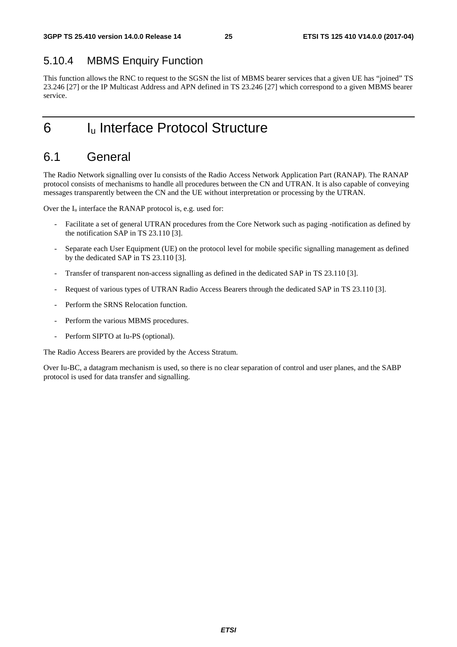### 5.10.4 MBMS Enquiry Function

This function allows the RNC to request to the SGSN the list of MBMS bearer services that a given UE has "joined" TS 23.246 [27] or the IP Multicast Address and APN defined in TS 23.246 [27] which correspond to a given MBMS bearer service.

# 6 I<sub>u</sub> Interface Protocol Structure

### 6.1 General

The Radio Network signalling over Iu consists of the Radio Access Network Application Part (RANAP). The RANAP protocol consists of mechanisms to handle all procedures between the CN and UTRAN. It is also capable of conveying messages transparently between the CN and the UE without interpretation or processing by the UTRAN.

Over the  $I_u$  interface the RANAP protocol is, e.g. used for:

- Facilitate a set of general UTRAN procedures from the Core Network such as paging -notification as defined by the notification SAP in TS 23.110 [3].
- Separate each User Equipment (UE) on the protocol level for mobile specific signalling management as defined by the dedicated SAP in TS 23.110 [3].
- Transfer of transparent non-access signalling as defined in the dedicated SAP in TS 23.110 [3].
- Request of various types of UTRAN Radio Access Bearers through the dedicated SAP in TS 23.110 [3].
- Perform the SRNS Relocation function.
- Perform the various MBMS procedures.
- Perform SIPTO at Iu-PS (optional).

The Radio Access Bearers are provided by the Access Stratum.

Over Iu-BC, a datagram mechanism is used, so there is no clear separation of control and user planes, and the SABP protocol is used for data transfer and signalling.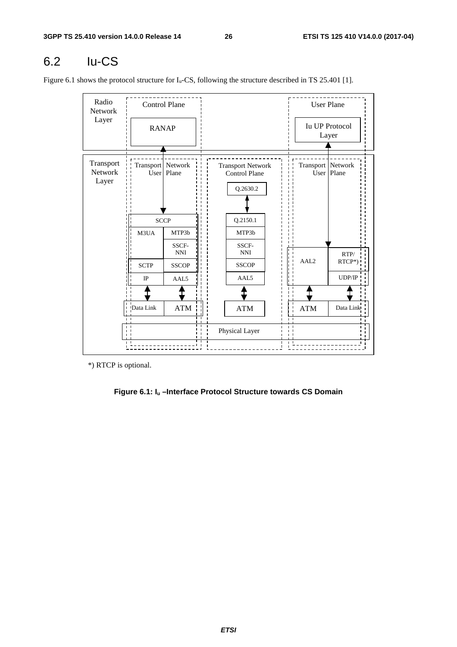# 6.2 Iu-CS

Figure 6.1 shows the protocol structure for  $I_u$ -CS, following the structure described in TS 25.401 [1].

| Radio<br>Network              |                             | <b>Control Plane</b>    |          |                                                              |     |                     | <b>User Plane</b>              |
|-------------------------------|-----------------------------|-------------------------|----------|--------------------------------------------------------------|-----|---------------------|--------------------------------|
| Layer                         | <b>RANAP</b>                |                         |          |                                                              |     |                     | <b>Iu UP Protocol</b><br>Layer |
| Transport<br>Network<br>Layer | Transport   Network         | User   Plane            |          | <b>Transport Network</b><br><b>Control Plane</b><br>Q.2630.2 |     | Transport   Network | $\overline{U}$ ser   Plane     |
|                               | <b>SCCP</b>                 |                         | Q.2150.1 |                                                              |     |                     |                                |
|                               | M3UA                        | MTP3b                   |          | MTP3b                                                        |     |                     |                                |
|                               |                             | SSCF-<br>$\mathbf{NNI}$ |          | SSCF-<br><b>NNI</b>                                          |     |                     | RTP/                           |
|                               | <b>SCTP</b>                 | <b>SSCOP</b>            |          | <b>SSCOP</b>                                                 |     | AAL <sub>2</sub>    | RTCP*)                         |
|                               | $\rm IP$                    | AAL <sub>5</sub>        |          | AAL5                                                         |     |                     | UDP/IP                         |
|                               |                             |                         |          |                                                              |     |                     |                                |
|                               | Data Link<br>$\blacksquare$ | <b>ATM</b>              |          | $ATM$                                                        |     | <b>ATM</b>          | Data Link                      |
|                               |                             |                         |          | Physical Layer                                               | n H |                     |                                |

\*) RTCP is optional.

**Figure 6.1: Iu –Interface Protocol Structure towards CS Domain**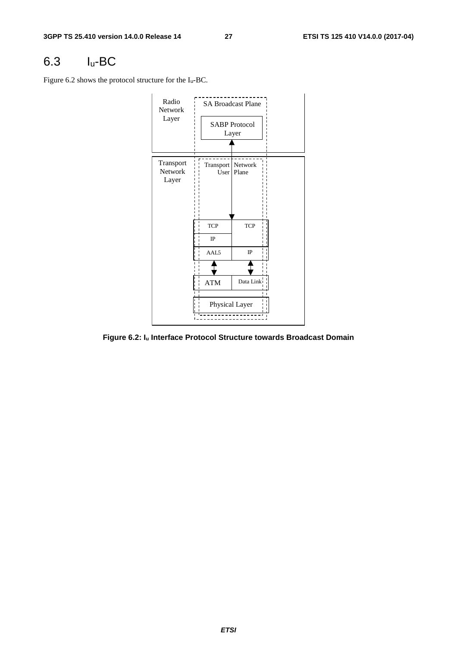### 6.3 Iu-BC

Figure 6.2 shows the protocol structure for the Iu-BC.



**Figure 6.2: Iu Interface Protocol Structure towards Broadcast Domain**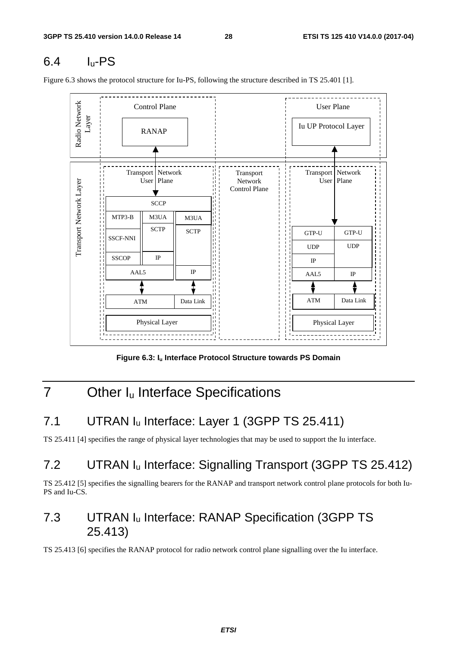# 6.4 Iu-PS

Figure 6.3 shows the protocol structure for Iu-PS, following the structure described in TS 25.401 [1].



**Figure 6.3: Iu Interface Protocol Structure towards PS Domain** 

# 7 Other I<sub>u</sub> Interface Specifications

# 7.1 UTRAN I<sub>u</sub> Interface: Layer 1 (3GPP TS 25.411)

TS 25.411 [4] specifies the range of physical layer technologies that may be used to support the Iu interface.

# 7.2 UTRAN Iu Interface: Signalling Transport (3GPP TS 25.412)

TS 25.412 [5] specifies the signalling bearers for the RANAP and transport network control plane protocols for both Iu-PS and Iu-CS.

# 7.3 UTRAN Iu Interface: RANAP Specification (3GPP TS 25.413)

TS 25.413 [6] specifies the RANAP protocol for radio network control plane signalling over the Iu interface.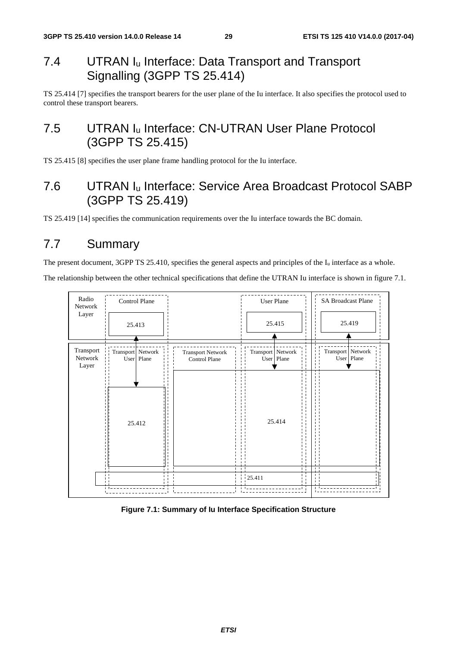# 7.4 UTRAN Iu Interface: Data Transport and Transport Signalling (3GPP TS 25.414)

TS 25.414 [7] specifies the transport bearers for the user plane of the Iu interface. It also specifies the protocol used to control these transport bearers.

# 7.5 UTRAN Iu Interface: CN-UTRAN User Plane Protocol (3GPP TS 25.415)

TS 25.415 [8] specifies the user plane frame handling protocol for the Iu interface.

# 7.6 UTRAN Iu Interface: Service Area Broadcast Protocol SABP (3GPP TS 25.419)

TS 25.419 [14] specifies the communication requirements over the Iu interface towards the BC domain.

# 7.7 Summary

The present document, 3GPP TS 25.410, specifies the general aspects and principles of the  $I_u$  interface as a whole.

The relationship between the other technical specifications that define the UTRAN Iu interface is shown in figure 7.1.



#### **Figure 7.1: Summary of Iu Interface Specification Structure**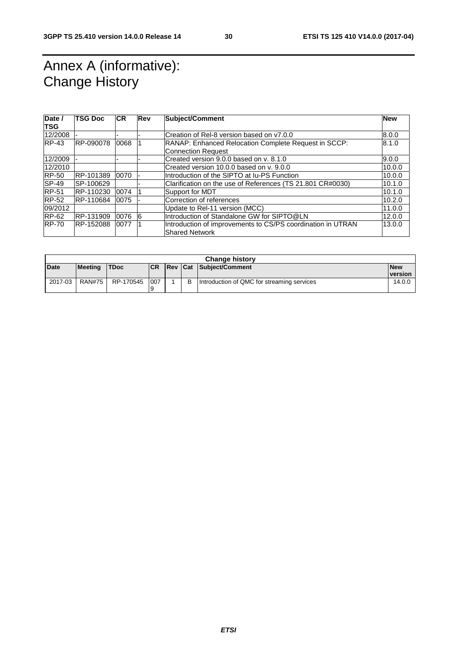# Annex A (informative): Change History

| Date /<br><b>TSG</b> | TSG Doc   | <b>CR</b> | Rev | Subject/Comment                                                                      | <b>New</b> |
|----------------------|-----------|-----------|-----|--------------------------------------------------------------------------------------|------------|
| 12/2008              |           |           |     | Creation of Rel-8 version based on y7.0.0                                            | 8.0.0      |
| $RP-43$              | RP-090078 | 0068      |     | RANAP: Enhanced Relocation Complete Request in SCCP:                                 | 8.1.0      |
|                      |           |           |     | <b>Connection Request</b>                                                            |            |
| 12/2009              |           |           |     | Created version 9.0.0 based on v. 8.1.0                                              | 9.0.0      |
| 12/2010              |           |           |     | Created version 10.0.0 based on y. 9.0.0                                             | 10.0.0     |
| RP-50                | RP-101389 | 0070      |     | Introduction of the SIPTO at Iu-PS Function                                          | 10.0.0     |
| <b>SP-49</b>         | SP-100629 |           |     | Clarification on the use of References (TS 21.801 CR#0030)                           | 10.1.0     |
| <b>RP-51</b>         | RP-110230 | 0074      |     | Support for MDT                                                                      | 10.1.0     |
| <b>RP-52</b>         | RP-110684 | 0075      |     | Correction of references                                                             | 10.2.0     |
| 09/2012              |           |           |     | Update to Rel-11 version (MCC)                                                       | 11.0.0     |
| $RP-62$              | RP-131909 | 0076      | 6   | Introduction of Standalone GW for SIPTO@LN                                           | 12.0.0     |
| <b>RP-70</b>         | RP-152088 | 0077      |     | Introduction of improvements to CS/PS coordination in UTRAN<br><b>Shared Network</b> | 13.0.0     |

| <b>Change history</b> |                |             |            |                |   |                                            |            |  |  |
|-----------------------|----------------|-------------|------------|----------------|---|--------------------------------------------|------------|--|--|
| <b>Date</b>           | <b>Meeting</b> | <b>TDoc</b> | <b>ICR</b> | <b>Rev Cat</b> |   | Subject/Comment                            | <b>New</b> |  |  |
|                       |                |             |            |                |   |                                            | version    |  |  |
| 2017-03               | <b>RAN#75</b>  | RP-170545   | 007<br>19  |                | B | Introduction of QMC for streaming services | 14.0.0     |  |  |